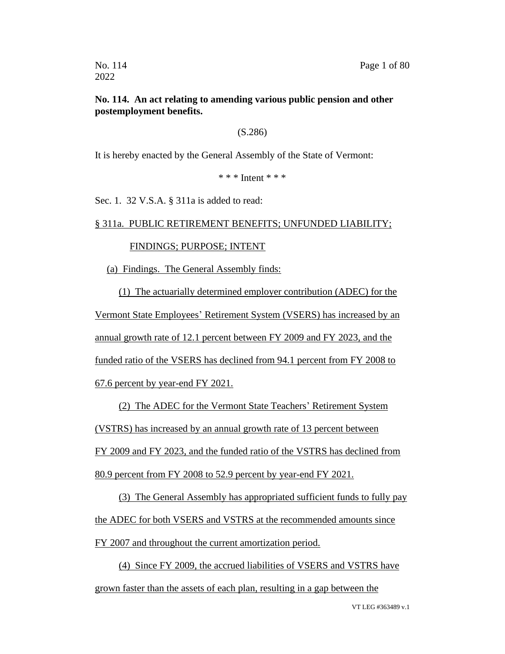## **No. 114. An act relating to amending various public pension and other postemployment benefits.**

## (S.286)

It is hereby enacted by the General Assembly of the State of Vermont:

\* \* \* Intent \* \* \*

Sec. 1. 32 V.S.A. § 311a is added to read:

## § 311a. PUBLIC RETIREMENT BENEFITS; UNFUNDED LIABILITY;

## FINDINGS; PURPOSE; INTENT

(a) Findings. The General Assembly finds:

(1) The actuarially determined employer contribution (ADEC) for the Vermont State Employees' Retirement System (VSERS) has increased by an annual growth rate of 12.1 percent between FY 2009 and FY 2023, and the funded ratio of the VSERS has declined from 94.1 percent from FY 2008 to 67.6 percent by year-end FY 2021.

(2) The ADEC for the Vermont State Teachers' Retirement System (VSTRS) has increased by an annual growth rate of 13 percent between FY 2009 and FY 2023, and the funded ratio of the VSTRS has declined from

80.9 percent from FY 2008 to 52.9 percent by year-end FY 2021.

(3) The General Assembly has appropriated sufficient funds to fully pay the ADEC for both VSERS and VSTRS at the recommended amounts since FY 2007 and throughout the current amortization period.

(4) Since FY 2009, the accrued liabilities of VSERS and VSTRS have grown faster than the assets of each plan, resulting in a gap between the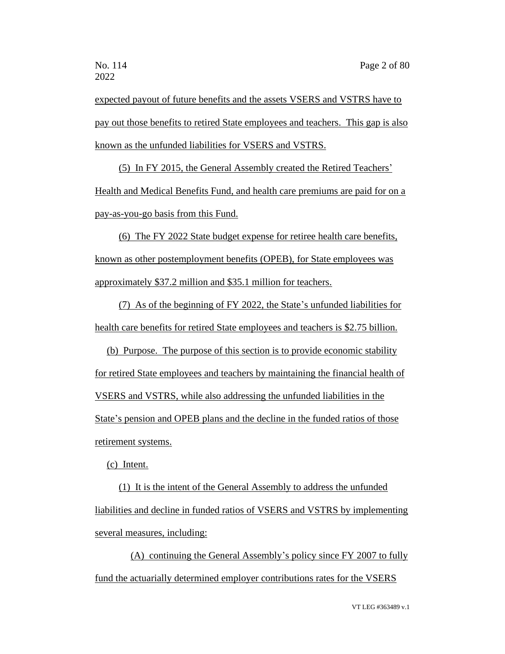expected payout of future benefits and the assets VSERS and VSTRS have to pay out those benefits to retired State employees and teachers. This gap is also known as the unfunded liabilities for VSERS and VSTRS.

(5) In FY 2015, the General Assembly created the Retired Teachers' Health and Medical Benefits Fund, and health care premiums are paid for on a pay-as-you-go basis from this Fund.

(6) The FY 2022 State budget expense for retiree health care benefits, known as other postemployment benefits (OPEB), for State employees was approximately \$37.2 million and \$35.1 million for teachers.

(7) As of the beginning of FY 2022, the State's unfunded liabilities for health care benefits for retired State employees and teachers is \$2.75 billion.

(b) Purpose. The purpose of this section is to provide economic stability for retired State employees and teachers by maintaining the financial health of VSERS and VSTRS, while also addressing the unfunded liabilities in the State's pension and OPEB plans and the decline in the funded ratios of those retirement systems.

(c) Intent.

(1) It is the intent of the General Assembly to address the unfunded liabilities and decline in funded ratios of VSERS and VSTRS by implementing several measures, including:

(A) continuing the General Assembly's policy since FY 2007 to fully fund the actuarially determined employer contributions rates for the VSERS

VT LEG #363489 v.1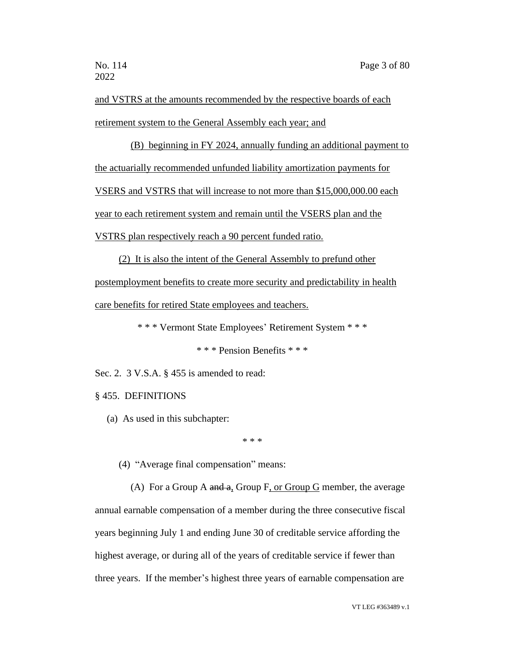and VSTRS at the amounts recommended by the respective boards of each retirement system to the General Assembly each year; and

(B) beginning in FY 2024, annually funding an additional payment to the actuarially recommended unfunded liability amortization payments for VSERS and VSTRS that will increase to not more than \$15,000,000.00 each year to each retirement system and remain until the VSERS plan and the VSTRS plan respectively reach a 90 percent funded ratio.

(2) It is also the intent of the General Assembly to prefund other postemployment benefits to create more security and predictability in health care benefits for retired State employees and teachers.

\* \* \* Vermont State Employees' Retirement System \* \* \*

\* \* \* Pension Benefits \* \* \*

Sec. 2. 3 V.S.A. § 455 is amended to read:

§ 455. DEFINITIONS

(a) As used in this subchapter:

\* \* \*

(4) "Average final compensation" means:

(A) For a Group A and a, Group F, or Group G member, the average annual earnable compensation of a member during the three consecutive fiscal years beginning July 1 and ending June 30 of creditable service affording the highest average, or during all of the years of creditable service if fewer than three years. If the member's highest three years of earnable compensation are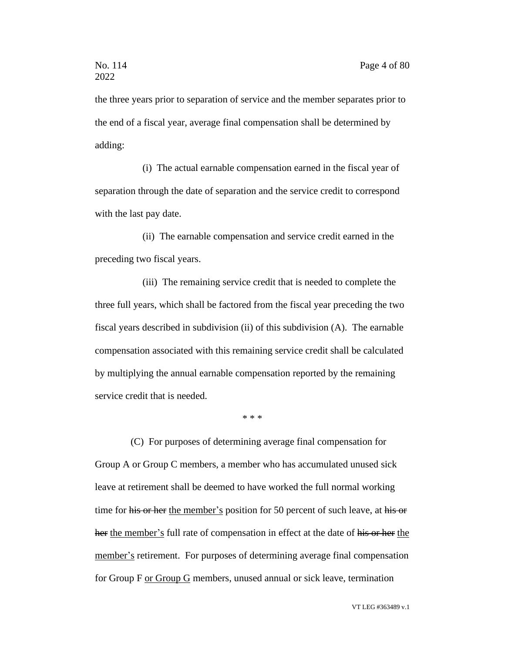the three years prior to separation of service and the member separates prior to the end of a fiscal year, average final compensation shall be determined by adding:

(i) The actual earnable compensation earned in the fiscal year of separation through the date of separation and the service credit to correspond with the last pay date.

(ii) The earnable compensation and service credit earned in the preceding two fiscal years.

(iii) The remaining service credit that is needed to complete the three full years, which shall be factored from the fiscal year preceding the two fiscal years described in subdivision (ii) of this subdivision (A). The earnable compensation associated with this remaining service credit shall be calculated by multiplying the annual earnable compensation reported by the remaining service credit that is needed.

\* \* \*

(C) For purposes of determining average final compensation for Group A or Group C members, a member who has accumulated unused sick leave at retirement shall be deemed to have worked the full normal working time for his or her the member's position for 50 percent of such leave, at his or her the member's full rate of compensation in effect at the date of his or her the member's retirement. For purposes of determining average final compensation for Group F or Group G members, unused annual or sick leave, termination

VT LEG #363489 v.1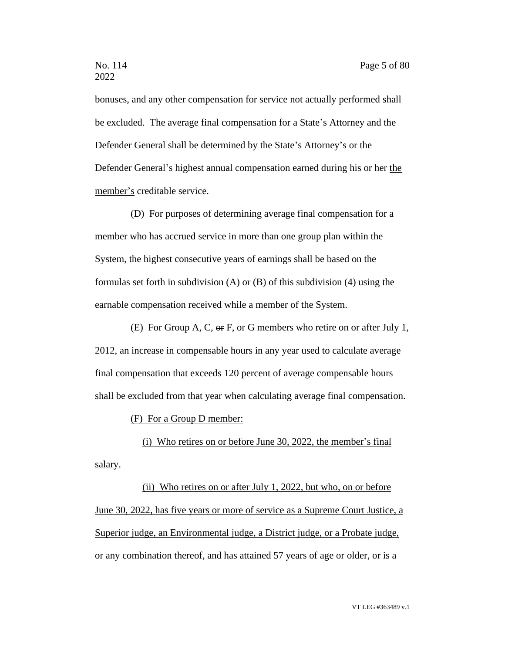bonuses, and any other compensation for service not actually performed shall be excluded. The average final compensation for a State's Attorney and the Defender General shall be determined by the State's Attorney's or the Defender General's highest annual compensation earned during his or her the member's creditable service.

(D) For purposes of determining average final compensation for a member who has accrued service in more than one group plan within the System, the highest consecutive years of earnings shall be based on the formulas set forth in subdivision (A) or (B) of this subdivision (4) using the earnable compensation received while a member of the System.

(E) For Group A, C, or F, or G members who retire on or after July 1, 2012, an increase in compensable hours in any year used to calculate average final compensation that exceeds 120 percent of average compensable hours shall be excluded from that year when calculating average final compensation.

(F) For a Group D member:

(i) Who retires on or before June 30, 2022, the member's final salary.

(ii) Who retires on or after July 1, 2022, but who, on or before June 30, 2022, has five years or more of service as a Supreme Court Justice, a Superior judge, an Environmental judge, a District judge, or a Probate judge, or any combination thereof, and has attained 57 years of age or older, or is a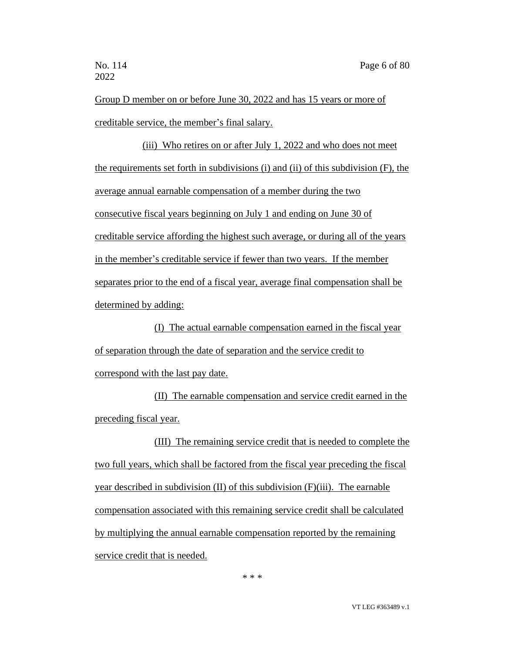Group D member on or before June 30, 2022 and has 15 years or more of creditable service, the member's final salary.

(iii) Who retires on or after July 1, 2022 and who does not meet the requirements set forth in subdivisions (i) and (ii) of this subdivision (F), the average annual earnable compensation of a member during the two consecutive fiscal years beginning on July 1 and ending on June 30 of creditable service affording the highest such average, or during all of the years in the member's creditable service if fewer than two years. If the member separates prior to the end of a fiscal year, average final compensation shall be determined by adding:

(I) The actual earnable compensation earned in the fiscal year of separation through the date of separation and the service credit to correspond with the last pay date.

(II) The earnable compensation and service credit earned in the preceding fiscal year.

(III) The remaining service credit that is needed to complete the two full years, which shall be factored from the fiscal year preceding the fiscal year described in subdivision (II) of this subdivision (F)(iii). The earnable compensation associated with this remaining service credit shall be calculated by multiplying the annual earnable compensation reported by the remaining service credit that is needed.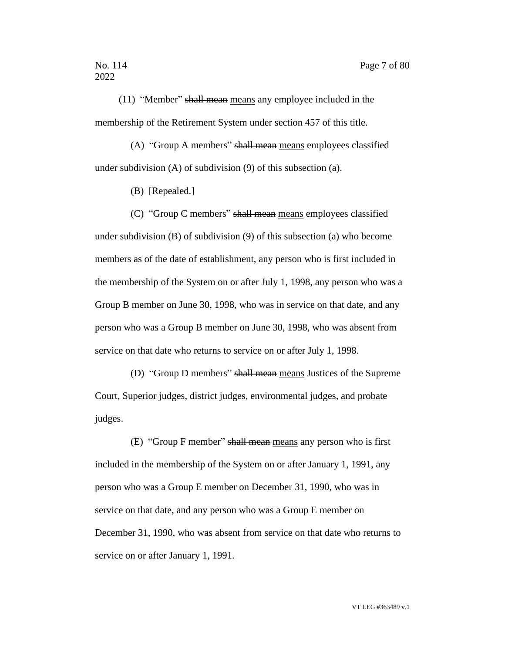(11) "Member" shall mean means any employee included in the membership of the Retirement System under section 457 of this title.

(A) "Group A members" shall mean means employees classified under subdivision (A) of subdivision (9) of this subsection (a).

(B) [Repealed.]

(C) "Group C members" shall mean means employees classified under subdivision (B) of subdivision (9) of this subsection (a) who become members as of the date of establishment, any person who is first included in the membership of the System on or after July 1, 1998, any person who was a Group B member on June 30, 1998, who was in service on that date, and any person who was a Group B member on June 30, 1998, who was absent from service on that date who returns to service on or after July 1, 1998.

(D) "Group D members" shall mean means Justices of the Supreme Court, Superior judges, district judges, environmental judges, and probate judges.

(E) "Group F member" shall mean means any person who is first included in the membership of the System on or after January 1, 1991, any person who was a Group E member on December 31, 1990, who was in service on that date, and any person who was a Group E member on December 31, 1990, who was absent from service on that date who returns to service on or after January 1, 1991.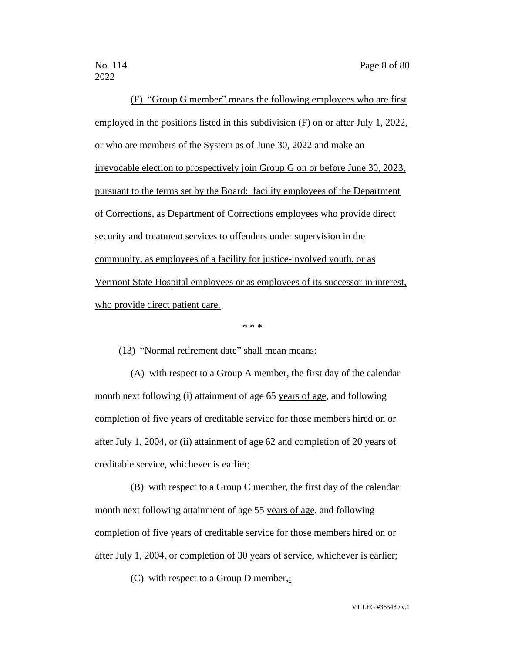(F) "Group G member" means the following employees who are first employed in the positions listed in this subdivision (F) on or after July 1, 2022, or who are members of the System as of June 30, 2022 and make an irrevocable election to prospectively join Group G on or before June 30, 2023, pursuant to the terms set by the Board: facility employees of the Department of Corrections, as Department of Corrections employees who provide direct security and treatment services to offenders under supervision in the community, as employees of a facility for justice-involved youth, or as Vermont State Hospital employees or as employees of its successor in interest, who provide direct patient care.

\* \* \*

(13) "Normal retirement date" shall mean means:

(A) with respect to a Group A member, the first day of the calendar month next following (i) attainment of age 65 years of age, and following completion of five years of creditable service for those members hired on or after July 1, 2004, or (ii) attainment of age 62 and completion of 20 years of creditable service, whichever is earlier;

(B) with respect to a Group C member, the first day of the calendar month next following attainment of age 55 years of age, and following completion of five years of creditable service for those members hired on or after July 1, 2004, or completion of 30 years of service, whichever is earlier;

(C) with respect to a Group D member,: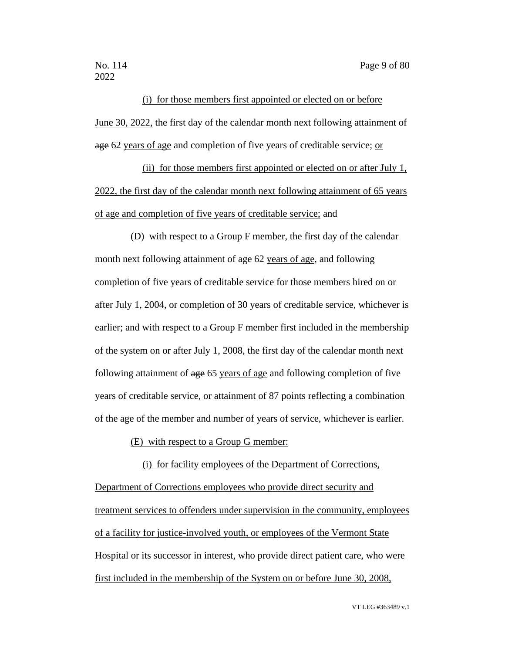(i) for those members first appointed or elected on or before June 30, 2022, the first day of the calendar month next following attainment of age 62 years of age and completion of five years of creditable service; or

(ii) for those members first appointed or elected on or after July 1, 2022, the first day of the calendar month next following attainment of 65 years of age and completion of five years of creditable service; and

(D) with respect to a Group F member, the first day of the calendar month next following attainment of age 62 years of age, and following completion of five years of creditable service for those members hired on or after July 1, 2004, or completion of 30 years of creditable service, whichever is earlier; and with respect to a Group F member first included in the membership of the system on or after July 1, 2008, the first day of the calendar month next following attainment of age 65 years of age and following completion of five years of creditable service, or attainment of 87 points reflecting a combination of the age of the member and number of years of service, whichever is earlier.

(E) with respect to a Group G member:

(i) for facility employees of the Department of Corrections, Department of Corrections employees who provide direct security and treatment services to offenders under supervision in the community, employees of a facility for justice-involved youth, or employees of the Vermont State Hospital or its successor in interest, who provide direct patient care, who were first included in the membership of the System on or before June 30, 2008,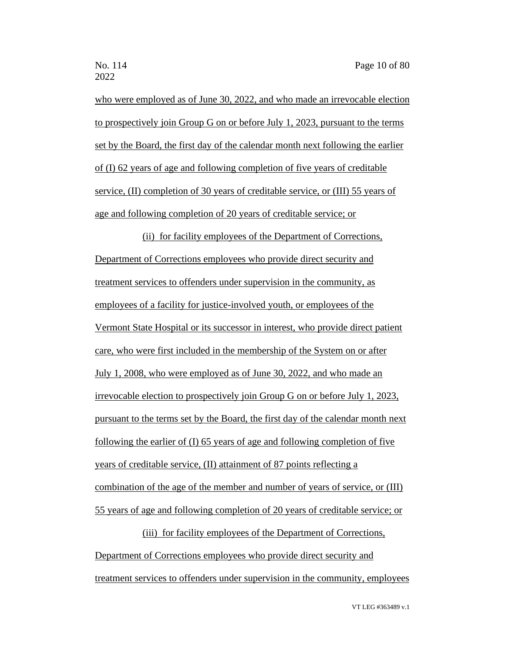who were employed as of June 30, 2022, and who made an irrevocable election to prospectively join Group G on or before July 1, 2023, pursuant to the terms set by the Board, the first day of the calendar month next following the earlier of (I) 62 years of age and following completion of five years of creditable service, (II) completion of 30 years of creditable service, or (III) 55 years of age and following completion of 20 years of creditable service; or

(ii) for facility employees of the Department of Corrections, Department of Corrections employees who provide direct security and treatment services to offenders under supervision in the community, as employees of a facility for justice-involved youth, or employees of the Vermont State Hospital or its successor in interest, who provide direct patient care, who were first included in the membership of the System on or after July 1, 2008, who were employed as of June 30, 2022, and who made an irrevocable election to prospectively join Group G on or before July 1, 2023, pursuant to the terms set by the Board, the first day of the calendar month next following the earlier of (I) 65 years of age and following completion of five years of creditable service, (II) attainment of 87 points reflecting a combination of the age of the member and number of years of service, or (III) 55 years of age and following completion of 20 years of creditable service; or

(iii) for facility employees of the Department of Corrections, Department of Corrections employees who provide direct security and treatment services to offenders under supervision in the community, employees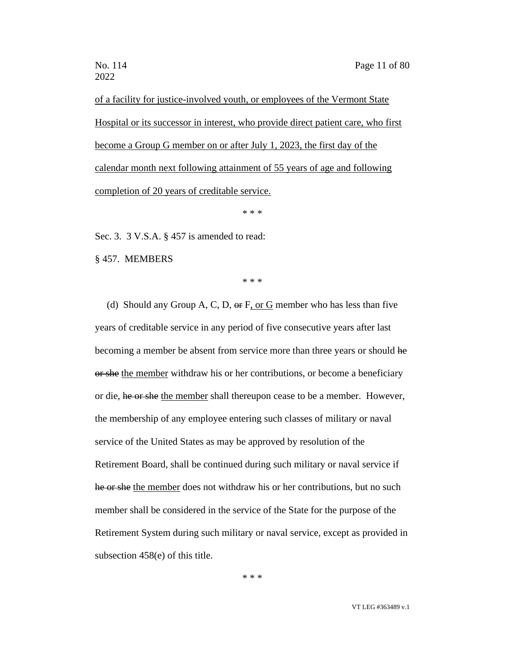of a facility for justice-involved youth, or employees of the Vermont State Hospital or its successor in interest, who provide direct patient care, who first become a Group G member on or after July 1, 2023, the first day of the calendar month next following attainment of 55 years of age and following completion of 20 years of creditable service.

\* \* \*

Sec. 3. 3 V.S.A. § 457 is amended to read:

§ 457. MEMBERS

\* \* \*

(d) Should any Group A, C, D,  $\Theta$  F, or G member who has less than five years of creditable service in any period of five consecutive years after last becoming a member be absent from service more than three years or should he or she the member withdraw his or her contributions, or become a beneficiary or die, he or she the member shall thereupon cease to be a member. However, the membership of any employee entering such classes of military or naval service of the United States as may be approved by resolution of the Retirement Board, shall be continued during such military or naval service if he or she the member does not withdraw his or her contributions, but no such member shall be considered in the service of the State for the purpose of the Retirement System during such military or naval service, except as provided in subsection 458(e) of this title.

\* \* \*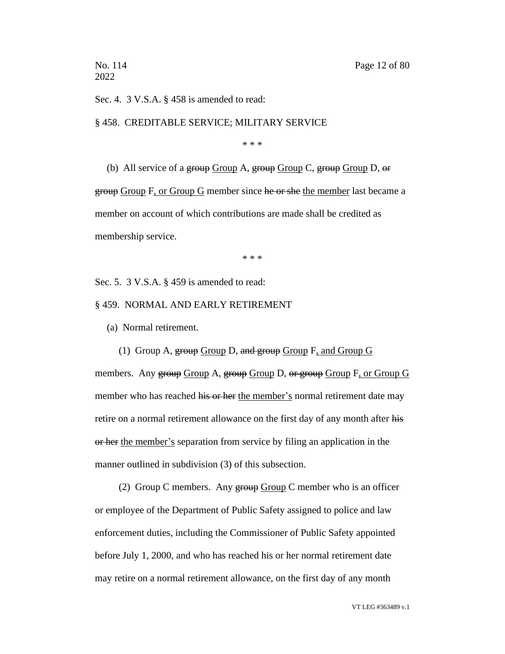Sec. 4. 3 V.S.A. § 458 is amended to read:

§ 458. CREDITABLE SERVICE; MILITARY SERVICE

\* \* \*

(b) All service of a group Group A, group Group C, group Group D,  $\Theta$ r group Group F, or Group G member since he or she the member last became a member on account of which contributions are made shall be credited as membership service.

\* \* \*

Sec. 5. 3 V.S.A. § 459 is amended to read:

§ 459. NORMAL AND EARLY RETIREMENT

(a) Normal retirement.

(1) Group A,  $\frac{1}{2}$  Group D, and  $\frac{1}{2}$  Group F, and Group G

members. Any group Group A, group Group D, or group Group F, or Group G member who has reached his or her the member's normal retirement date may retire on a normal retirement allowance on the first day of any month after his or her the member's separation from service by filing an application in the manner outlined in subdivision (3) of this subsection.

(2) Group C members. Any  $\frac{1}{2}$  Group C member who is an officer or employee of the Department of Public Safety assigned to police and law enforcement duties, including the Commissioner of Public Safety appointed before July 1, 2000, and who has reached his or her normal retirement date may retire on a normal retirement allowance, on the first day of any month

VT LEG #363489 v.1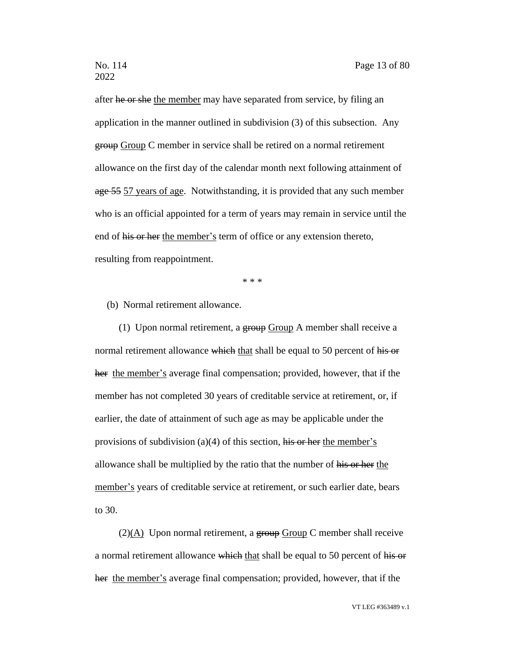after he or she the member may have separated from service, by filing an application in the manner outlined in subdivision (3) of this subsection. Any group Group C member in service shall be retired on a normal retirement allowance on the first day of the calendar month next following attainment of age 55 57 years of age. Notwithstanding, it is provided that any such member who is an official appointed for a term of years may remain in service until the end of his or her the member's term of office or any extension thereto, resulting from reappointment.

\* \* \*

(b) Normal retirement allowance.

(1) Upon normal retirement, a group Group A member shall receive a normal retirement allowance which that shall be equal to 50 percent of his or her the member's average final compensation; provided, however, that if the member has not completed 30 years of creditable service at retirement, or, if earlier, the date of attainment of such age as may be applicable under the provisions of subdivision (a)(4) of this section, his or her the member's allowance shall be multiplied by the ratio that the number of his or her the member's years of creditable service at retirement, or such earlier date, bears to 30.

 $(2)(A)$  Upon normal retirement, a group Group C member shall receive a normal retirement allowance which that shall be equal to 50 percent of his or her the member's average final compensation; provided, however, that if the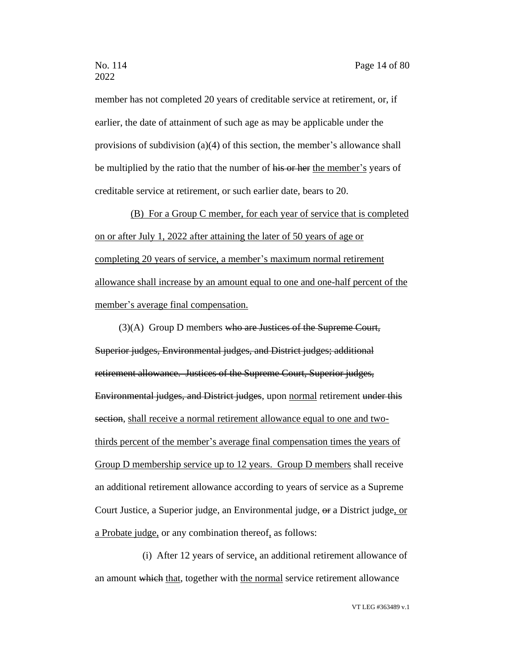member has not completed 20 years of creditable service at retirement, or, if earlier, the date of attainment of such age as may be applicable under the provisions of subdivision (a)(4) of this section, the member's allowance shall be multiplied by the ratio that the number of his or her the member's years of creditable service at retirement, or such earlier date, bears to 20.

(B) For a Group C member, for each year of service that is completed on or after July 1, 2022 after attaining the later of 50 years of age or completing 20 years of service, a member's maximum normal retirement allowance shall increase by an amount equal to one and one-half percent of the member's average final compensation.

 $(3)(A)$  Group D members who are Justices of the Supreme Court, Superior judges, Environmental judges, and District judges; additional retirement allowance. Justices of the Supreme Court, Superior judges, Environmental judges, and District judges, upon normal retirement under this section, shall receive a normal retirement allowance equal to one and twothirds percent of the member's average final compensation times the years of Group D membership service up to 12 years. Group D members shall receive an additional retirement allowance according to years of service as a Supreme Court Justice, a Superior judge, an Environmental judge, or a District judge, or a Probate judge, or any combination thereof, as follows:

(i) After 12 years of service, an additional retirement allowance of an amount which that, together with the normal service retirement allowance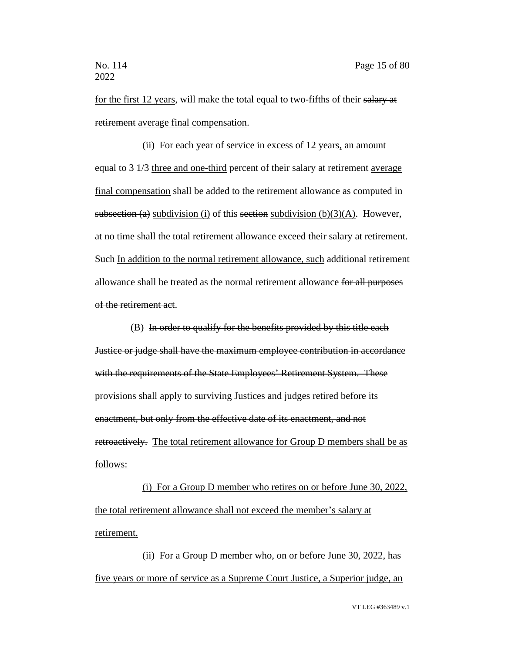for the first 12 years, will make the total equal to two-fifths of their salary at retirement average final compensation.

(ii) For each year of service in excess of 12 years, an amount equal to  $\frac{3 + 7}{3}$  three and one-third percent of their salary at retirement average final compensation shall be added to the retirement allowance as computed in subsection (a) subdivision (i) of this section subdivision (b)(3)(A). However, at no time shall the total retirement allowance exceed their salary at retirement. Such In addition to the normal retirement allowance, such additional retirement allowance shall be treated as the normal retirement allowance for all purposes of the retirement act.

(B) In order to qualify for the benefits provided by this title each Justice or judge shall have the maximum employee contribution in accordance with the requirements of the State Employees' Retirement System. These provisions shall apply to surviving Justices and judges retired before its enactment, but only from the effective date of its enactment, and not retroactively. The total retirement allowance for Group D members shall be as follows:

(i) For a Group D member who retires on or before June 30, 2022, the total retirement allowance shall not exceed the member's salary at retirement.

(ii) For a Group D member who, on or before June 30, 2022, has five years or more of service as a Supreme Court Justice, a Superior judge, an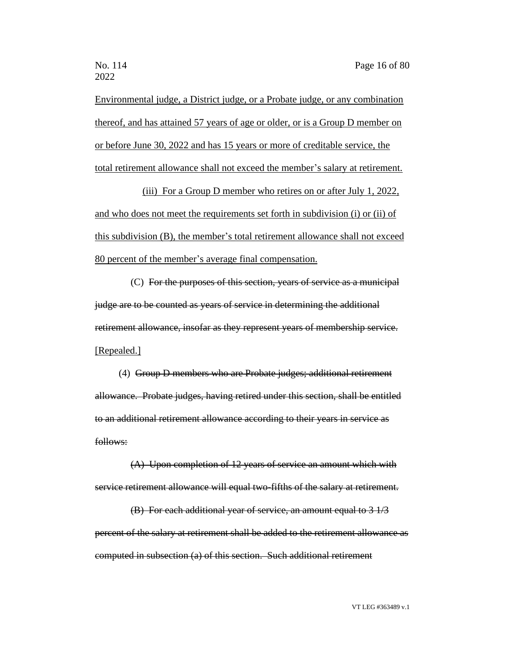Environmental judge, a District judge, or a Probate judge, or any combination thereof, and has attained 57 years of age or older, or is a Group D member on or before June 30, 2022 and has 15 years or more of creditable service, the total retirement allowance shall not exceed the member's salary at retirement.

(iii) For a Group D member who retires on or after July 1, 2022, and who does not meet the requirements set forth in subdivision (i) or (ii) of this subdivision (B), the member's total retirement allowance shall not exceed 80 percent of the member's average final compensation.

(C) For the purposes of this section, years of service as a municipal judge are to be counted as years of service in determining the additional retirement allowance, insofar as they represent years of membership service. [Repealed.]

(4) Group D members who are Probate judges; additional retirement allowance. Probate judges, having retired under this section, shall be entitled to an additional retirement allowance according to their years in service as follows:

(A) Upon completion of 12 years of service an amount which with service retirement allowance will equal two-fifths of the salary at retirement.

(B) For each additional year of service, an amount equal to 3 1/3 percent of the salary at retirement shall be added to the retirement allowance as computed in subsection (a) of this section. Such additional retirement

VT LEG #363489 v.1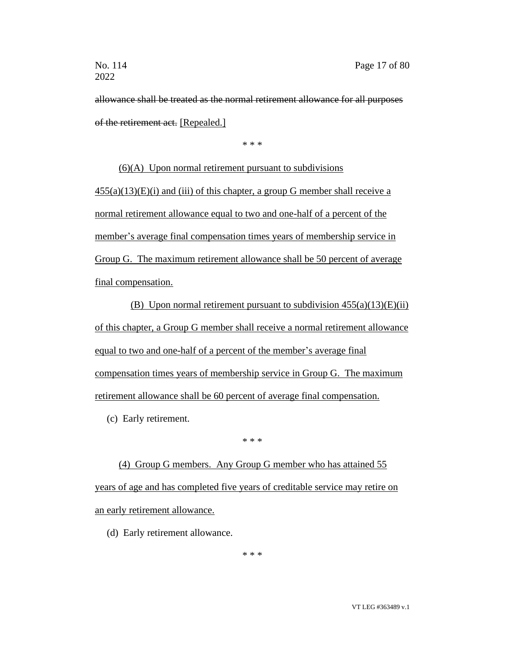allowance shall be treated as the normal retirement allowance for all purposes of the retirement act. [Repealed.]

\* \* \*

(6)(A) Upon normal retirement pursuant to subdivisions  $455(a)(13)(E)(i)$  and (iii) of this chapter, a group G member shall receive a normal retirement allowance equal to two and one-half of a percent of the member's average final compensation times years of membership service in Group G. The maximum retirement allowance shall be 50 percent of average final compensation.

(B) Upon normal retirement pursuant to subdivision  $455(a)(13)(E)(ii)$ of this chapter, a Group G member shall receive a normal retirement allowance equal to two and one-half of a percent of the member's average final compensation times years of membership service in Group G. The maximum retirement allowance shall be 60 percent of average final compensation.

(c) Early retirement.

\* \* \*

(4) Group G members. Any Group G member who has attained 55 years of age and has completed five years of creditable service may retire on an early retirement allowance.

(d) Early retirement allowance.

\* \* \*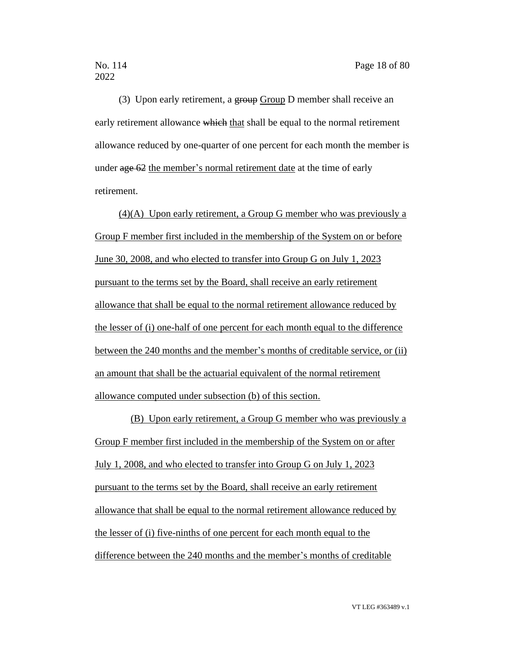(3) Upon early retirement, a group Group D member shall receive an early retirement allowance which that shall be equal to the normal retirement allowance reduced by one-quarter of one percent for each month the member is under age 62 the member's normal retirement date at the time of early retirement.

(4)(A) Upon early retirement, a Group G member who was previously a Group F member first included in the membership of the System on or before June 30, 2008, and who elected to transfer into Group G on July 1, 2023 pursuant to the terms set by the Board, shall receive an early retirement allowance that shall be equal to the normal retirement allowance reduced by the lesser of (i) one-half of one percent for each month equal to the difference between the 240 months and the member's months of creditable service, or (ii) an amount that shall be the actuarial equivalent of the normal retirement allowance computed under subsection (b) of this section.

(B) Upon early retirement, a Group G member who was previously a Group F member first included in the membership of the System on or after July 1, 2008, and who elected to transfer into Group G on July 1, 2023 pursuant to the terms set by the Board, shall receive an early retirement allowance that shall be equal to the normal retirement allowance reduced by the lesser of (i) five-ninths of one percent for each month equal to the difference between the 240 months and the member's months of creditable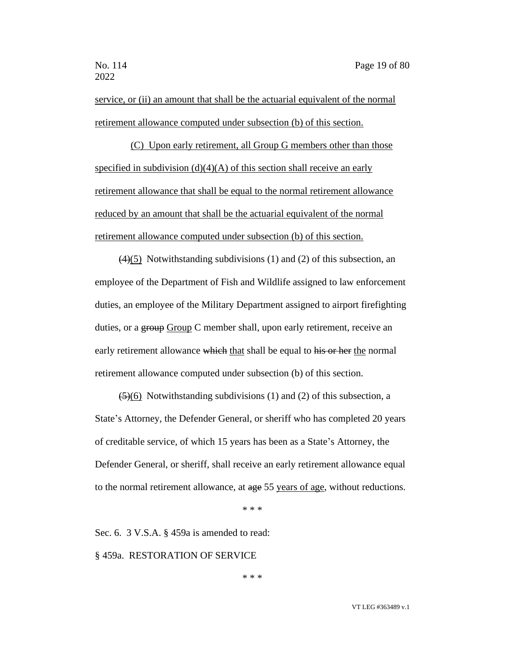service, or (ii) an amount that shall be the actuarial equivalent of the normal retirement allowance computed under subsection (b) of this section.

(C) Upon early retirement, all Group G members other than those specified in subdivision  $(d)(4)(A)$  of this section shall receive an early retirement allowance that shall be equal to the normal retirement allowance reduced by an amount that shall be the actuarial equivalent of the normal retirement allowance computed under subsection (b) of this section.

 $(4)(5)$  Notwithstanding subdivisions (1) and (2) of this subsection, an employee of the Department of Fish and Wildlife assigned to law enforcement duties, an employee of the Military Department assigned to airport firefighting duties, or a group Group C member shall, upon early retirement, receive an early retirement allowance which that shall be equal to his or her the normal retirement allowance computed under subsection (b) of this section.

 $\left(\frac{5}{6}\right)$  Notwithstanding subdivisions (1) and (2) of this subsection, a State's Attorney, the Defender General, or sheriff who has completed 20 years of creditable service, of which 15 years has been as a State's Attorney, the Defender General, or sheriff, shall receive an early retirement allowance equal to the normal retirement allowance, at age 55 years of age, without reductions.

\* \* \*

Sec. 6. 3 V.S.A. § 459a is amended to read:

§ 459a. RESTORATION OF SERVICE

\* \* \*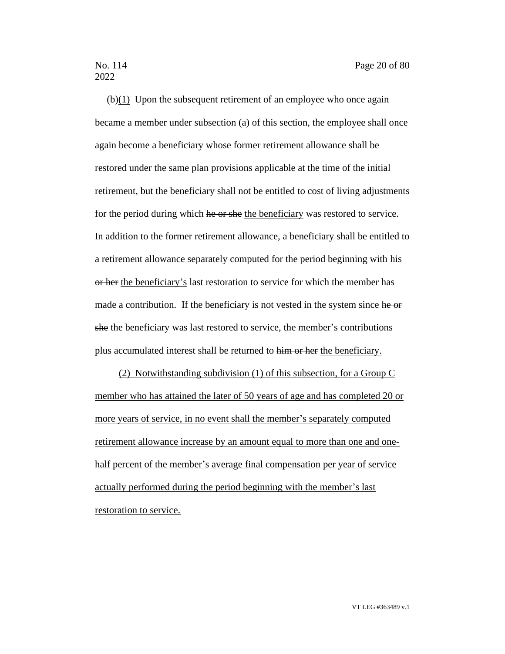(b)(1) Upon the subsequent retirement of an employee who once again became a member under subsection (a) of this section, the employee shall once again become a beneficiary whose former retirement allowance shall be restored under the same plan provisions applicable at the time of the initial retirement, but the beneficiary shall not be entitled to cost of living adjustments for the period during which he or she the beneficiary was restored to service. In addition to the former retirement allowance, a beneficiary shall be entitled to a retirement allowance separately computed for the period beginning with his or her the beneficiary's last restoration to service for which the member has made a contribution. If the beneficiary is not vested in the system since he or she the beneficiary was last restored to service, the member's contributions plus accumulated interest shall be returned to him or her the beneficiary.

(2) Notwithstanding subdivision (1) of this subsection, for a Group C member who has attained the later of 50 years of age and has completed 20 or more years of service, in no event shall the member's separately computed retirement allowance increase by an amount equal to more than one and onehalf percent of the member's average final compensation per year of service actually performed during the period beginning with the member's last restoration to service.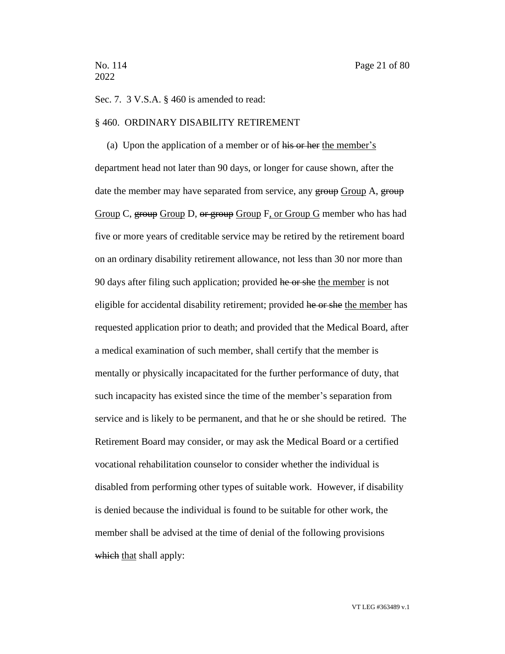Sec. 7. 3 V.S.A. § 460 is amended to read:

### § 460. ORDINARY DISABILITY RETIREMENT

(a) Upon the application of a member or of his or her the member's department head not later than 90 days, or longer for cause shown, after the date the member may have separated from service, any group Group A, group Group C, group Group D, or group Group F, or Group G member who has had five or more years of creditable service may be retired by the retirement board on an ordinary disability retirement allowance, not less than 30 nor more than 90 days after filing such application; provided he or she the member is not eligible for accidental disability retirement; provided he or she the member has requested application prior to death; and provided that the Medical Board, after a medical examination of such member, shall certify that the member is mentally or physically incapacitated for the further performance of duty, that such incapacity has existed since the time of the member's separation from service and is likely to be permanent, and that he or she should be retired. The Retirement Board may consider, or may ask the Medical Board or a certified vocational rehabilitation counselor to consider whether the individual is disabled from performing other types of suitable work. However, if disability is denied because the individual is found to be suitable for other work, the member shall be advised at the time of denial of the following provisions which that shall apply: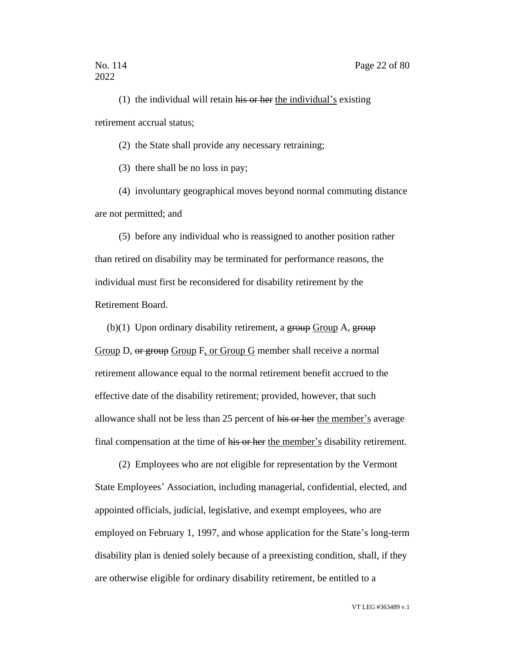(1) the individual will retain  $\overline{his}$  or her the individual's existing retirement accrual status;

(2) the State shall provide any necessary retraining;

(3) there shall be no loss in pay;

(4) involuntary geographical moves beyond normal commuting distance are not permitted; and

(5) before any individual who is reassigned to another position rather than retired on disability may be terminated for performance reasons, the individual must first be reconsidered for disability retirement by the Retirement Board.

(b) $(1)$  Upon ordinary disability retirement, a group Group A, group Group D, or group Group F, or Group G member shall receive a normal retirement allowance equal to the normal retirement benefit accrued to the effective date of the disability retirement; provided, however, that such allowance shall not be less than 25 percent of his or her the member's average final compensation at the time of his or her the member's disability retirement.

(2) Employees who are not eligible for representation by the Vermont State Employees' Association, including managerial, confidential, elected, and appointed officials, judicial, legislative, and exempt employees, who are employed on February 1, 1997, and whose application for the State's long-term disability plan is denied solely because of a preexisting condition, shall, if they are otherwise eligible for ordinary disability retirement, be entitled to a

VT LEG #363489 v.1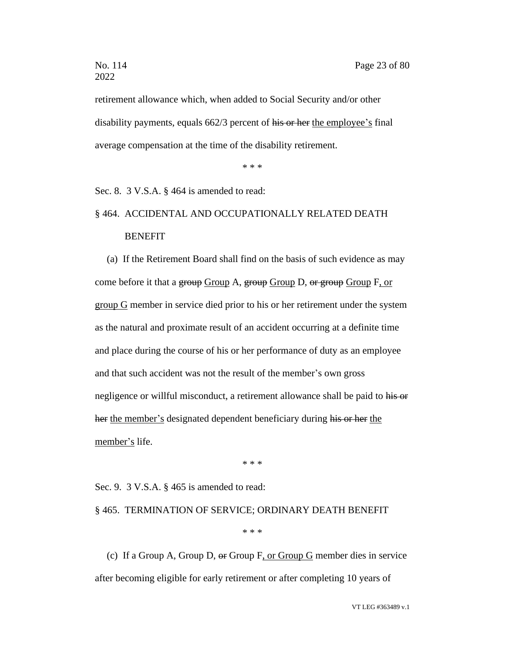retirement allowance which, when added to Social Security and/or other disability payments, equals 662/3 percent of his or her the employee's final average compensation at the time of the disability retirement.

\* \* \*

Sec. 8. 3 V.S.A. § 464 is amended to read:

# § 464. ACCIDENTAL AND OCCUPATIONALLY RELATED DEATH **BENEFIT**

(a) If the Retirement Board shall find on the basis of such evidence as may come before it that a group Group A, group Group D, or group Group F, or group G member in service died prior to his or her retirement under the system as the natural and proximate result of an accident occurring at a definite time and place during the course of his or her performance of duty as an employee and that such accident was not the result of the member's own gross negligence or willful misconduct, a retirement allowance shall be paid to his or her the member's designated dependent beneficiary during his or her the member's life.

\* \* \*

Sec. 9. 3 V.S.A. § 465 is amended to read:

#### § 465. TERMINATION OF SERVICE; ORDINARY DEATH BENEFIT

\* \* \*

(c) If a Group A, Group D, or Group F, or Group G member dies in service after becoming eligible for early retirement or after completing 10 years of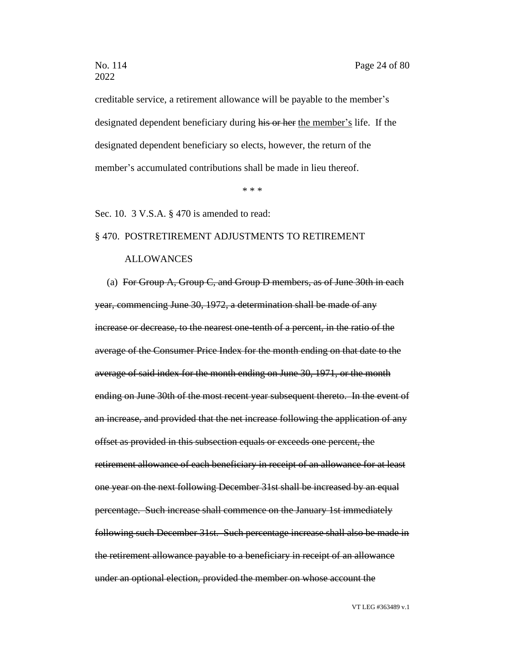creditable service, a retirement allowance will be payable to the member's designated dependent beneficiary during his or her the member's life. If the designated dependent beneficiary so elects, however, the return of the member's accumulated contributions shall be made in lieu thereof.

\* \* \*

Sec. 10. 3 V.S.A. § 470 is amended to read:

### § 470. POSTRETIREMENT ADJUSTMENTS TO RETIREMENT

### ALLOWANCES

(a) For Group A, Group C, and Group D members, as of June 30th in each year, commencing June 30, 1972, a determination shall be made of any increase or decrease, to the nearest one-tenth of a percent, in the ratio of the average of the Consumer Price Index for the month ending on that date to the average of said index for the month ending on June 30, 1971, or the month ending on June 30th of the most recent year subsequent thereto. In the event of an increase, and provided that the net increase following the application of any offset as provided in this subsection equals or exceeds one percent, the retirement allowance of each beneficiary in receipt of an allowance for at least one year on the next following December 31st shall be increased by an equal percentage. Such increase shall commence on the January 1st immediately following such December 31st. Such percentage increase shall also be made in the retirement allowance payable to a beneficiary in receipt of an allowance under an optional election, provided the member on whose account the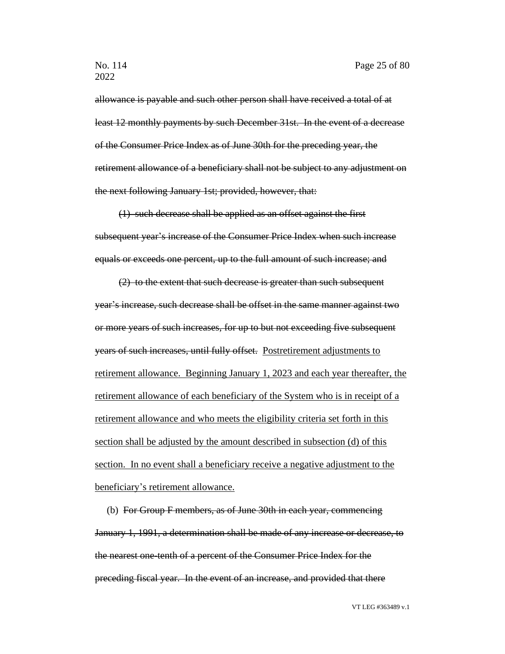allowance is payable and such other person shall have received a total of at least 12 monthly payments by such December 31st. In the event of a decrease of the Consumer Price Index as of June 30th for the preceding year, the retirement allowance of a beneficiary shall not be subject to any adjustment on the next following January 1st; provided, however, that:

(1) such decrease shall be applied as an offset against the first subsequent year's increase of the Consumer Price Index when such increase equals or exceeds one percent, up to the full amount of such increase; and

(2) to the extent that such decrease is greater than such subsequent year's increase, such decrease shall be offset in the same manner against two or more years of such increases, for up to but not exceeding five subsequent years of such increases, until fully offset. Postretirement adjustments to retirement allowance. Beginning January 1, 2023 and each year thereafter, the retirement allowance of each beneficiary of the System who is in receipt of a retirement allowance and who meets the eligibility criteria set forth in this section shall be adjusted by the amount described in subsection (d) of this section. In no event shall a beneficiary receive a negative adjustment to the beneficiary's retirement allowance.

(b) For Group F members, as of June 30th in each year, commencing January 1, 1991, a determination shall be made of any increase or decrease, to the nearest one-tenth of a percent of the Consumer Price Index for the preceding fiscal year. In the event of an increase, and provided that there

VT LEG #363489 v.1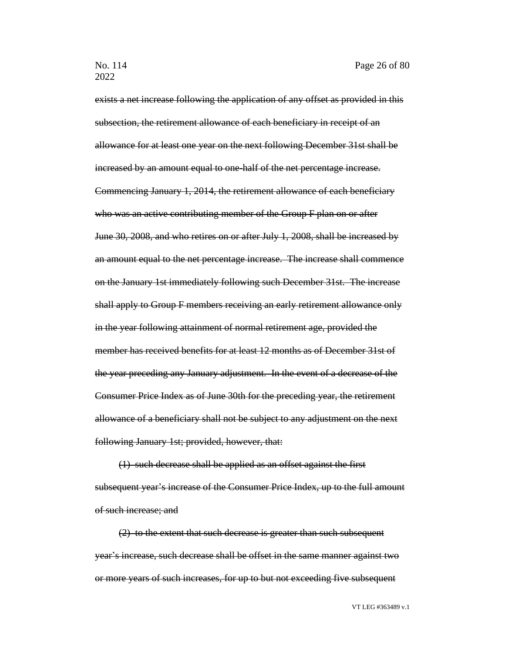exists a net increase following the application of any offset as provided in this subsection, the retirement allowance of each beneficiary in receipt of an allowance for at least one year on the next following December 31st shall be increased by an amount equal to one-half of the net percentage increase. Commencing January 1, 2014, the retirement allowance of each beneficiary who was an active contributing member of the Group F plan on or after June 30, 2008, and who retires on or after July 1, 2008, shall be increased by an amount equal to the net percentage increase. The increase shall commence on the January 1st immediately following such December 31st. The increase shall apply to Group F members receiving an early retirement allowance only in the year following attainment of normal retirement age, provided the member has received benefits for at least 12 months as of December 31st of the year preceding any January adjustment. In the event of a decrease of the Consumer Price Index as of June 30th for the preceding year, the retirement allowance of a beneficiary shall not be subject to any adjustment on the next following January 1st; provided, however, that:

(1) such decrease shall be applied as an offset against the first subsequent year's increase of the Consumer Price Index, up to the full amount of such increase; and

(2) to the extent that such decrease is greater than such subsequent year's increase, such decrease shall be offset in the same manner against two or more years of such increases, for up to but not exceeding five subsequent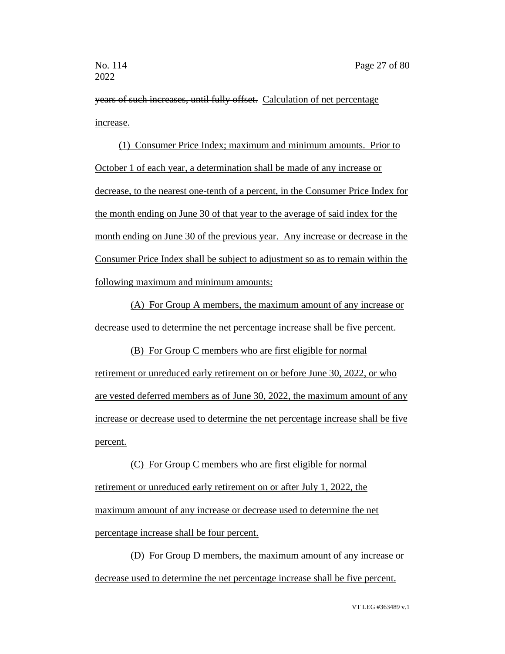years of such increases, until fully offset. Calculation of net percentage increase.

(1) Consumer Price Index; maximum and minimum amounts. Prior to October 1 of each year, a determination shall be made of any increase or decrease, to the nearest one-tenth of a percent, in the Consumer Price Index for the month ending on June 30 of that year to the average of said index for the month ending on June 30 of the previous year. Any increase or decrease in the Consumer Price Index shall be subject to adjustment so as to remain within the following maximum and minimum amounts:

(A) For Group A members, the maximum amount of any increase or decrease used to determine the net percentage increase shall be five percent.

(B) For Group C members who are first eligible for normal retirement or unreduced early retirement on or before June 30, 2022, or who are vested deferred members as of June 30, 2022, the maximum amount of any increase or decrease used to determine the net percentage increase shall be five percent.

(C) For Group C members who are first eligible for normal retirement or unreduced early retirement on or after July 1, 2022, the maximum amount of any increase or decrease used to determine the net percentage increase shall be four percent.

(D) For Group D members, the maximum amount of any increase or decrease used to determine the net percentage increase shall be five percent.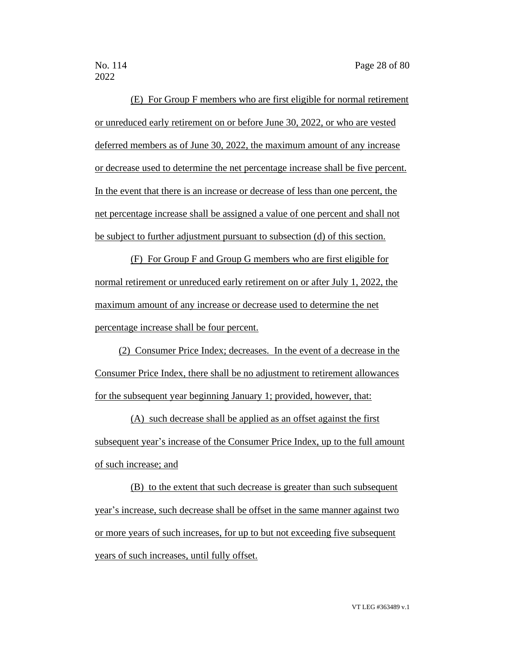(E) For Group F members who are first eligible for normal retirement or unreduced early retirement on or before June 30, 2022, or who are vested deferred members as of June 30, 2022, the maximum amount of any increase or decrease used to determine the net percentage increase shall be five percent. In the event that there is an increase or decrease of less than one percent, the net percentage increase shall be assigned a value of one percent and shall not be subject to further adjustment pursuant to subsection (d) of this section.

(F) For Group F and Group G members who are first eligible for normal retirement or unreduced early retirement on or after July 1, 2022, the maximum amount of any increase or decrease used to determine the net percentage increase shall be four percent.

(2) Consumer Price Index; decreases. In the event of a decrease in the Consumer Price Index, there shall be no adjustment to retirement allowances for the subsequent year beginning January 1; provided, however, that:

(A) such decrease shall be applied as an offset against the first subsequent year's increase of the Consumer Price Index, up to the full amount of such increase; and

(B) to the extent that such decrease is greater than such subsequent year's increase, such decrease shall be offset in the same manner against two or more years of such increases, for up to but not exceeding five subsequent years of such increases, until fully offset.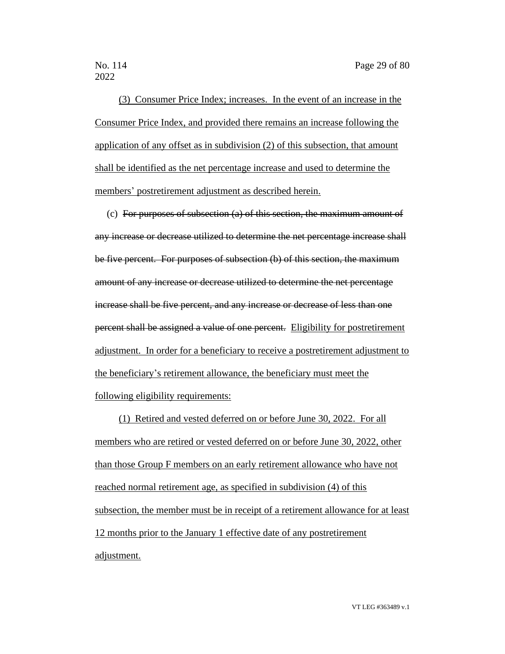(3) Consumer Price Index; increases. In the event of an increase in the Consumer Price Index, and provided there remains an increase following the application of any offset as in subdivision (2) of this subsection, that amount shall be identified as the net percentage increase and used to determine the members' postretirement adjustment as described herein.

(c) For purposes of subsection (a) of this section, the maximum amount of any increase or decrease utilized to determine the net percentage increase shall be five percent. For purposes of subsection (b) of this section, the maximum amount of any increase or decrease utilized to determine the net percentage increase shall be five percent, and any increase or decrease of less than one percent shall be assigned a value of one percent. Eligibility for postretirement adjustment. In order for a beneficiary to receive a postretirement adjustment to the beneficiary's retirement allowance, the beneficiary must meet the following eligibility requirements:

(1) Retired and vested deferred on or before June 30, 2022. For all members who are retired or vested deferred on or before June 30, 2022, other than those Group F members on an early retirement allowance who have not reached normal retirement age, as specified in subdivision (4) of this subsection, the member must be in receipt of a retirement allowance for at least 12 months prior to the January 1 effective date of any postretirement adjustment.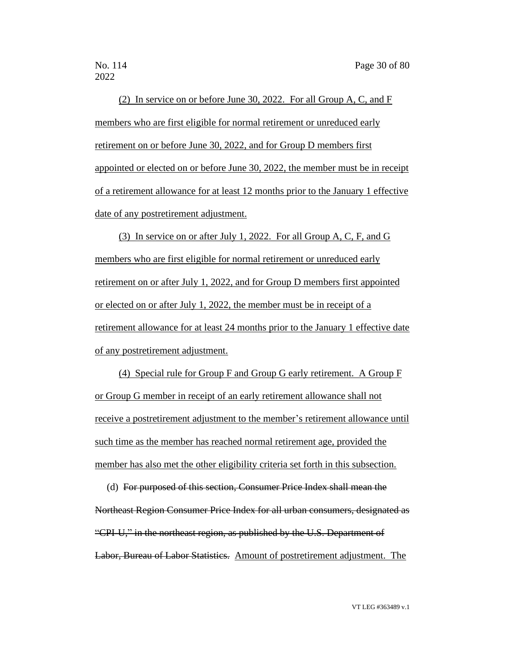(2) In service on or before June 30, 2022. For all Group A, C, and F members who are first eligible for normal retirement or unreduced early retirement on or before June 30, 2022, and for Group D members first appointed or elected on or before June 30, 2022, the member must be in receipt of a retirement allowance for at least 12 months prior to the January 1 effective date of any postretirement adjustment.

(3) In service on or after July 1, 2022. For all Group A, C, F, and G members who are first eligible for normal retirement or unreduced early retirement on or after July 1, 2022, and for Group D members first appointed or elected on or after July 1, 2022, the member must be in receipt of a retirement allowance for at least 24 months prior to the January 1 effective date of any postretirement adjustment.

(4) Special rule for Group F and Group G early retirement. A Group F or Group G member in receipt of an early retirement allowance shall not receive a postretirement adjustment to the member's retirement allowance until such time as the member has reached normal retirement age, provided the member has also met the other eligibility criteria set forth in this subsection.

(d) For purposed of this section, Consumer Price Index shall mean the Northeast Region Consumer Price Index for all urban consumers, designated as "CPI-U," in the northeast region, as published by the U.S. Department of Labor, Bureau of Labor Statistics. Amount of postretirement adjustment. The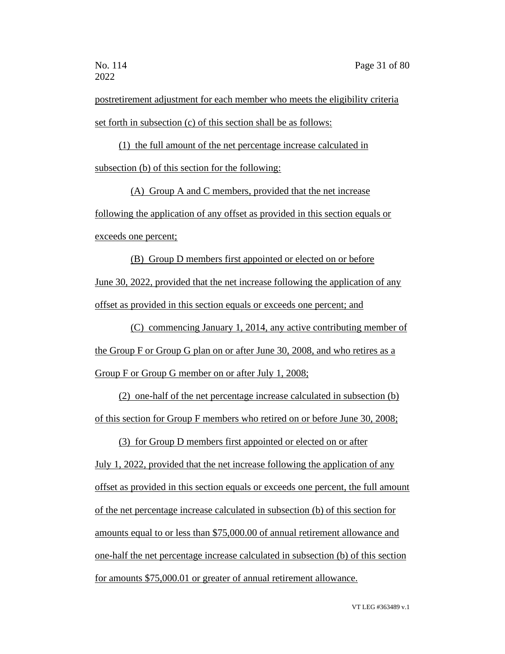postretirement adjustment for each member who meets the eligibility criteria set forth in subsection (c) of this section shall be as follows:

(1) the full amount of the net percentage increase calculated in subsection (b) of this section for the following:

(A) Group A and C members, provided that the net increase following the application of any offset as provided in this section equals or exceeds one percent;

(B) Group D members first appointed or elected on or before June 30, 2022, provided that the net increase following the application of any offset as provided in this section equals or exceeds one percent; and

(C) commencing January 1, 2014, any active contributing member of the Group F or Group G plan on or after June 30, 2008, and who retires as a Group F or Group G member on or after July 1, 2008;

(2) one-half of the net percentage increase calculated in subsection (b) of this section for Group F members who retired on or before June 30, 2008;

(3) for Group D members first appointed or elected on or after

July 1, 2022, provided that the net increase following the application of any offset as provided in this section equals or exceeds one percent, the full amount of the net percentage increase calculated in subsection (b) of this section for amounts equal to or less than \$75,000.00 of annual retirement allowance and one-half the net percentage increase calculated in subsection (b) of this section for amounts \$75,000.01 or greater of annual retirement allowance.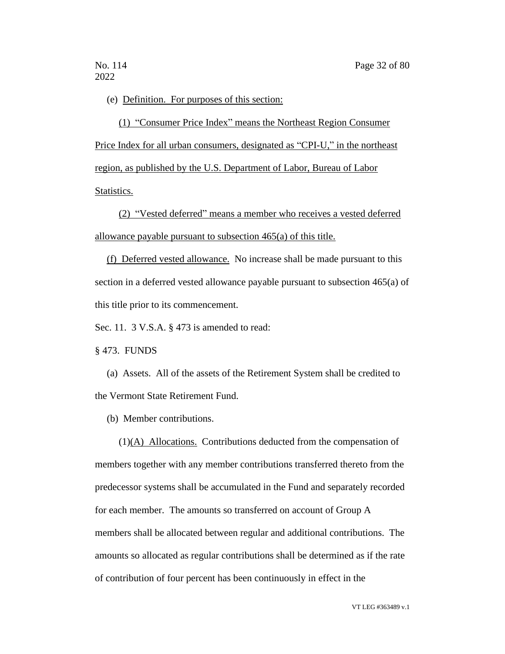### (e) Definition. For purposes of this section:

(1) "Consumer Price Index" means the Northeast Region Consumer Price Index for all urban consumers, designated as "CPI-U," in the northeast region, as published by the U.S. Department of Labor, Bureau of Labor Statistics.

(2) "Vested deferred" means a member who receives a vested deferred allowance payable pursuant to subsection 465(a) of this title.

(f) Deferred vested allowance. No increase shall be made pursuant to this section in a deferred vested allowance payable pursuant to subsection 465(a) of this title prior to its commencement.

Sec. 11. 3 V.S.A. § 473 is amended to read:

§ 473. FUNDS

(a) Assets. All of the assets of the Retirement System shall be credited to the Vermont State Retirement Fund.

(b) Member contributions.

(1)(A) Allocations. Contributions deducted from the compensation of members together with any member contributions transferred thereto from the predecessor systems shall be accumulated in the Fund and separately recorded for each member. The amounts so transferred on account of Group A members shall be allocated between regular and additional contributions. The amounts so allocated as regular contributions shall be determined as if the rate of contribution of four percent has been continuously in effect in the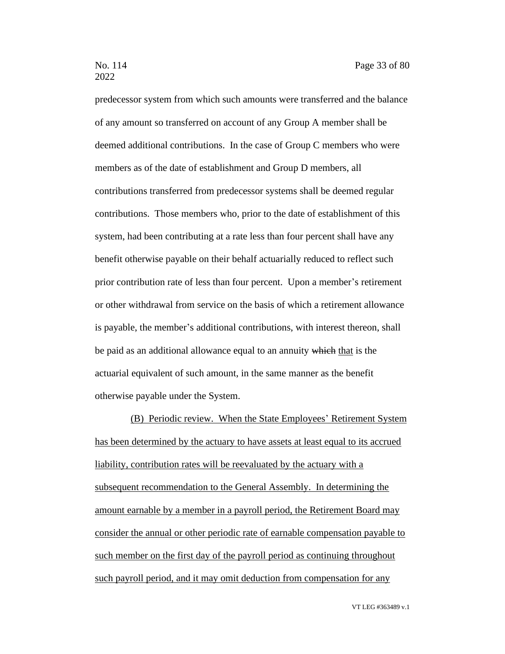predecessor system from which such amounts were transferred and the balance of any amount so transferred on account of any Group A member shall be deemed additional contributions. In the case of Group C members who were members as of the date of establishment and Group D members, all contributions transferred from predecessor systems shall be deemed regular contributions. Those members who, prior to the date of establishment of this system, had been contributing at a rate less than four percent shall have any benefit otherwise payable on their behalf actuarially reduced to reflect such prior contribution rate of less than four percent. Upon a member's retirement or other withdrawal from service on the basis of which a retirement allowance is payable, the member's additional contributions, with interest thereon, shall be paid as an additional allowance equal to an annuity which that is the actuarial equivalent of such amount, in the same manner as the benefit otherwise payable under the System.

(B) Periodic review. When the State Employees' Retirement System has been determined by the actuary to have assets at least equal to its accrued liability, contribution rates will be reevaluated by the actuary with a subsequent recommendation to the General Assembly. In determining the amount earnable by a member in a payroll period, the Retirement Board may consider the annual or other periodic rate of earnable compensation payable to such member on the first day of the payroll period as continuing throughout such payroll period, and it may omit deduction from compensation for any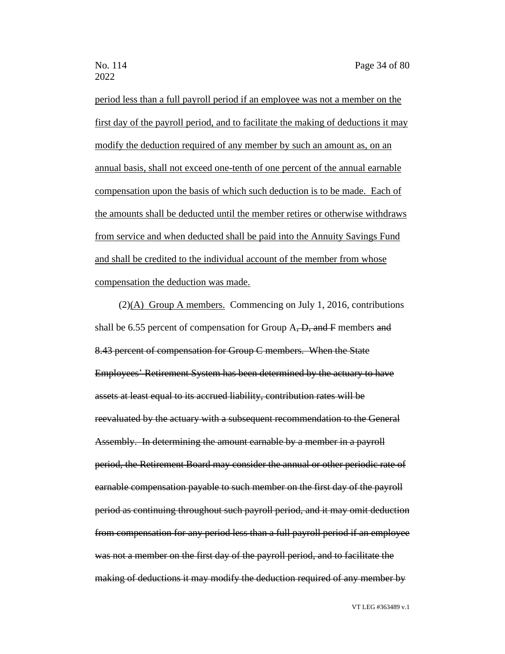period less than a full payroll period if an employee was not a member on the first day of the payroll period, and to facilitate the making of deductions it may modify the deduction required of any member by such an amount as, on an annual basis, shall not exceed one-tenth of one percent of the annual earnable compensation upon the basis of which such deduction is to be made. Each of the amounts shall be deducted until the member retires or otherwise withdraws from service and when deducted shall be paid into the Annuity Savings Fund and shall be credited to the individual account of the member from whose compensation the deduction was made.

(2)(A) Group A members. Commencing on July 1, 2016, contributions shall be 6.55 percent of compensation for Group  $A$ ,  $D$ , and  $F$  members and 8.43 percent of compensation for Group C members. When the State Employees' Retirement System has been determined by the actuary to have assets at least equal to its accrued liability, contribution rates will be reevaluated by the actuary with a subsequent recommendation to the General Assembly. In determining the amount earnable by a member in a payroll period, the Retirement Board may consider the annual or other periodic rate of earnable compensation payable to such member on the first day of the payroll period as continuing throughout such payroll period, and it may omit deduction from compensation for any period less than a full payroll period if an employee was not a member on the first day of the payroll period, and to facilitate the making of deductions it may modify the deduction required of any member by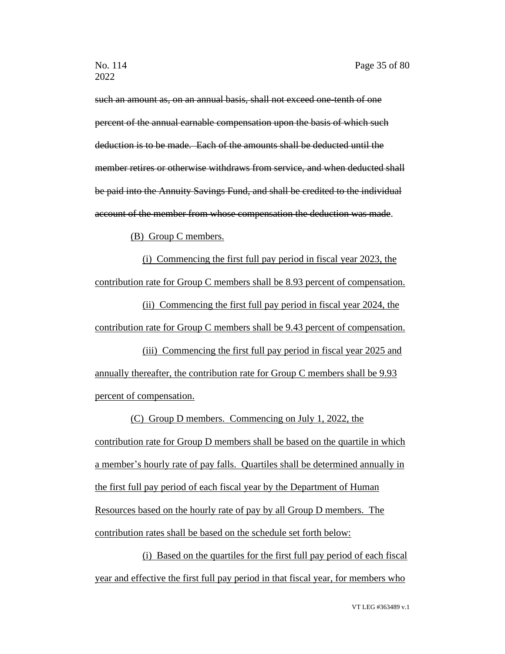such an amount as, on an annual basis, shall not exceed one-tenth of one percent of the annual earnable compensation upon the basis of which such deduction is to be made. Each of the amounts shall be deducted until the member retires or otherwise withdraws from service, and when deducted shall be paid into the Annuity Savings Fund, and shall be credited to the individual account of the member from whose compensation the deduction was made.

(B) Group C members.

(i) Commencing the first full pay period in fiscal year 2023, the contribution rate for Group C members shall be 8.93 percent of compensation.

(ii) Commencing the first full pay period in fiscal year 2024, the contribution rate for Group C members shall be 9.43 percent of compensation.

(iii) Commencing the first full pay period in fiscal year 2025 and annually thereafter, the contribution rate for Group C members shall be 9.93 percent of compensation.

(C) Group D members. Commencing on July 1, 2022, the contribution rate for Group D members shall be based on the quartile in which a member's hourly rate of pay falls. Quartiles shall be determined annually in the first full pay period of each fiscal year by the Department of Human Resources based on the hourly rate of pay by all Group D members. The contribution rates shall be based on the schedule set forth below:

(i) Based on the quartiles for the first full pay period of each fiscal year and effective the first full pay period in that fiscal year, for members who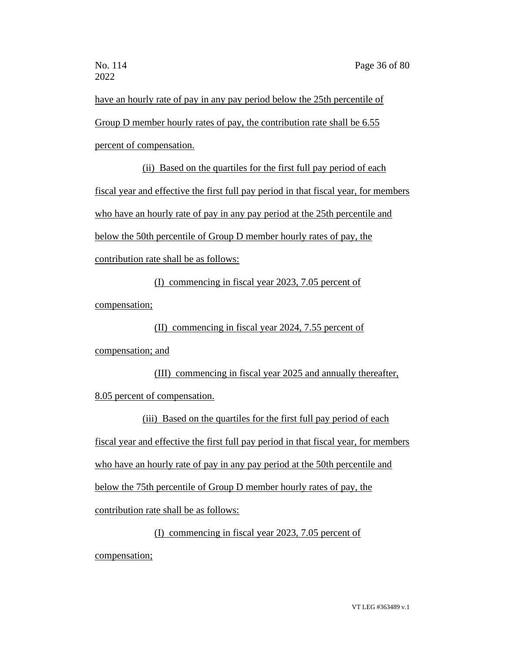have an hourly rate of pay in any pay period below the 25th percentile of Group D member hourly rates of pay, the contribution rate shall be 6.55 percent of compensation.

(ii) Based on the quartiles for the first full pay period of each fiscal year and effective the first full pay period in that fiscal year, for members who have an hourly rate of pay in any pay period at the 25th percentile and below the 50th percentile of Group D member hourly rates of pay, the contribution rate shall be as follows:

(I) commencing in fiscal year 2023, 7.05 percent of compensation;

(II) commencing in fiscal year 2024, 7.55 percent of compensation; and

(III) commencing in fiscal year 2025 and annually thereafter, 8.05 percent of compensation.

(iii) Based on the quartiles for the first full pay period of each fiscal year and effective the first full pay period in that fiscal year, for members who have an hourly rate of pay in any pay period at the 50th percentile and below the 75th percentile of Group D member hourly rates of pay, the contribution rate shall be as follows:

(I) commencing in fiscal year 2023, 7.05 percent of

compensation;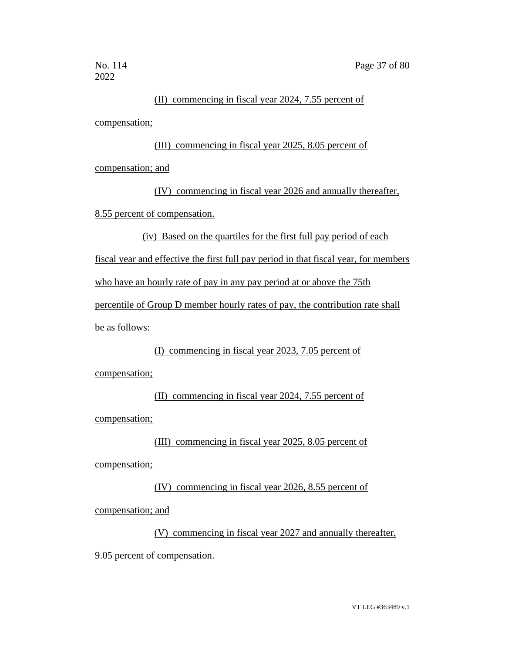### (II) commencing in fiscal year 2024, 7.55 percent of

compensation;

(III) commencing in fiscal year 2025, 8.05 percent of

compensation; and

(IV) commencing in fiscal year 2026 and annually thereafter, 8.55 percent of compensation.

(iv) Based on the quartiles for the first full pay period of each

fiscal year and effective the first full pay period in that fiscal year, for members

who have an hourly rate of pay in any pay period at or above the 75th

percentile of Group D member hourly rates of pay, the contribution rate shall

be as follows:

(I) commencing in fiscal year 2023, 7.05 percent of

compensation;

(II) commencing in fiscal year 2024, 7.55 percent of compensation;

(III) commencing in fiscal year 2025, 8.05 percent of

compensation;

(IV) commencing in fiscal year 2026, 8.55 percent of

compensation; and

(V) commencing in fiscal year 2027 and annually thereafter, 9.05 percent of compensation.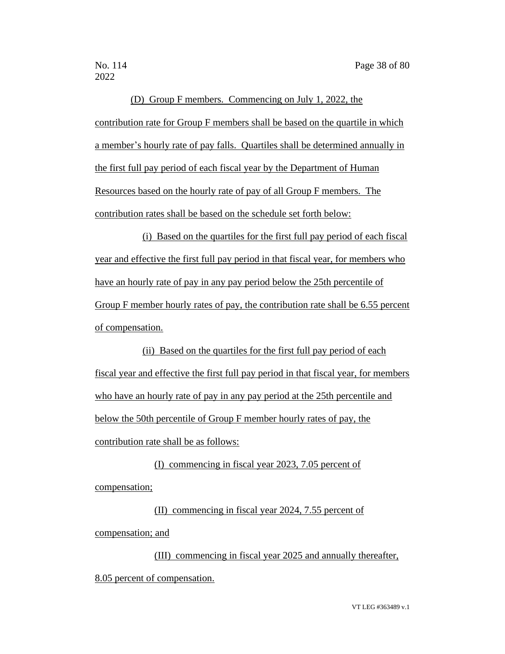(D) Group F members. Commencing on July 1, 2022, the contribution rate for Group F members shall be based on the quartile in which a member's hourly rate of pay falls. Quartiles shall be determined annually in the first full pay period of each fiscal year by the Department of Human Resources based on the hourly rate of pay of all Group F members. The contribution rates shall be based on the schedule set forth below:

(i) Based on the quartiles for the first full pay period of each fiscal year and effective the first full pay period in that fiscal year, for members who have an hourly rate of pay in any pay period below the 25th percentile of Group F member hourly rates of pay, the contribution rate shall be 6.55 percent of compensation.

(ii) Based on the quartiles for the first full pay period of each fiscal year and effective the first full pay period in that fiscal year, for members who have an hourly rate of pay in any pay period at the 25th percentile and below the 50th percentile of Group F member hourly rates of pay, the contribution rate shall be as follows:

(I) commencing in fiscal year 2023, 7.05 percent of compensation;

(II) commencing in fiscal year 2024, 7.55 percent of compensation; and

(III) commencing in fiscal year 2025 and annually thereafter, 8.05 percent of compensation.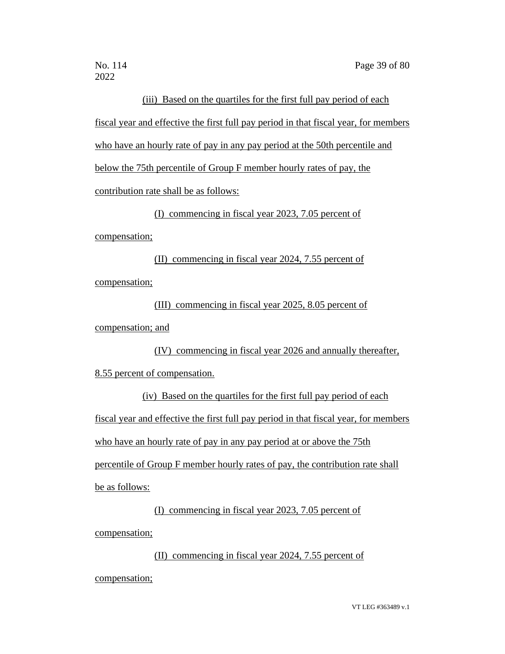### (iii) Based on the quartiles for the first full pay period of each

fiscal year and effective the first full pay period in that fiscal year, for members who have an hourly rate of pay in any pay period at the 50th percentile and below the 75th percentile of Group F member hourly rates of pay, the contribution rate shall be as follows:

(I) commencing in fiscal year 2023, 7.05 percent of

compensation;

(II) commencing in fiscal year 2024, 7.55 percent of compensation;

(III) commencing in fiscal year 2025, 8.05 percent of

compensation; and

(IV) commencing in fiscal year 2026 and annually thereafter,

8.55 percent of compensation.

(iv) Based on the quartiles for the first full pay period of each fiscal year and effective the first full pay period in that fiscal year, for members who have an hourly rate of pay in any pay period at or above the 75th percentile of Group F member hourly rates of pay, the contribution rate shall be as follows:

(I) commencing in fiscal year 2023, 7.05 percent of

compensation;

(II) commencing in fiscal year 2024, 7.55 percent of

compensation;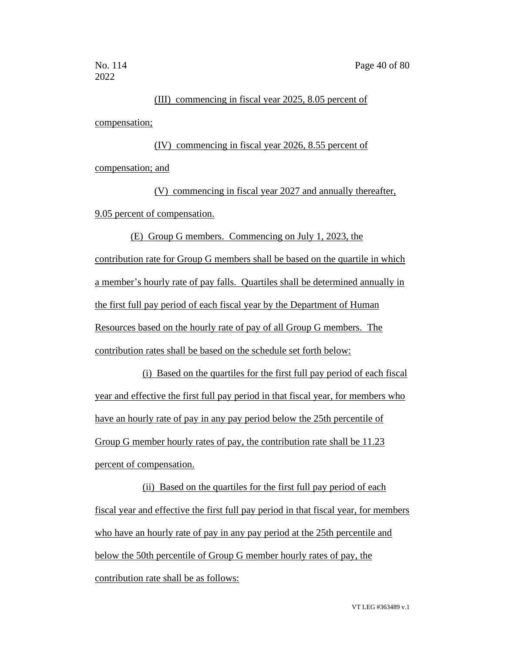### (III) commencing in fiscal year 2025, 8.05 percent of

compensation;

(IV) commencing in fiscal year 2026, 8.55 percent of compensation; and

(V) commencing in fiscal year 2027 and annually thereafter, 9.05 percent of compensation.

(E) Group G members. Commencing on July 1, 2023, the contribution rate for Group G members shall be based on the quartile in which a member's hourly rate of pay falls. Quartiles shall be determined annually in the first full pay period of each fiscal year by the Department of Human Resources based on the hourly rate of pay of all Group G members. The contribution rates shall be based on the schedule set forth below:

(i) Based on the quartiles for the first full pay period of each fiscal year and effective the first full pay period in that fiscal year, for members who have an hourly rate of pay in any pay period below the 25th percentile of Group G member hourly rates of pay, the contribution rate shall be 11.23 percent of compensation.

(ii) Based on the quartiles for the first full pay period of each fiscal year and effective the first full pay period in that fiscal year, for members who have an hourly rate of pay in any pay period at the 25th percentile and below the 50th percentile of Group G member hourly rates of pay, the contribution rate shall be as follows: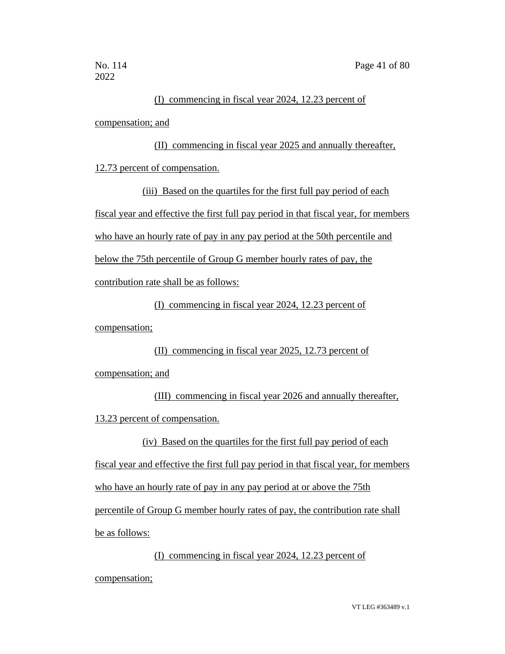### (I) commencing in fiscal year 2024, 12.23 percent of

compensation; and

(II) commencing in fiscal year 2025 and annually thereafter, 12.73 percent of compensation.

(iii) Based on the quartiles for the first full pay period of each fiscal year and effective the first full pay period in that fiscal year, for members who have an hourly rate of pay in any pay period at the 50th percentile and below the 75th percentile of Group G member hourly rates of pay, the contribution rate shall be as follows:

(I) commencing in fiscal year 2024, 12.23 percent of

compensation;

### (II) commencing in fiscal year 2025, 12.73 percent of

compensation; and

(III) commencing in fiscal year 2026 and annually thereafter, 13.23 percent of compensation.

(iv) Based on the quartiles for the first full pay period of each

fiscal year and effective the first full pay period in that fiscal year, for members

who have an hourly rate of pay in any pay period at or above the 75th

percentile of Group G member hourly rates of pay, the contribution rate shall

be as follows:

(I) commencing in fiscal year 2024, 12.23 percent of

compensation;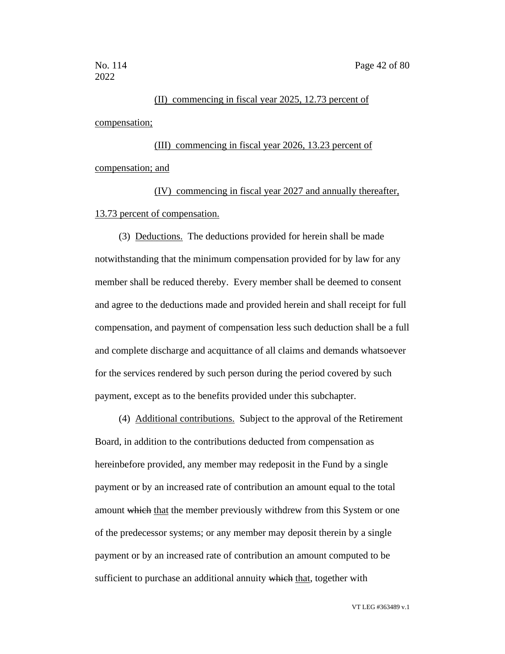### (II) commencing in fiscal year 2025, 12.73 percent of compensation;

(III) commencing in fiscal year 2026, 13.23 percent of compensation; and

(IV) commencing in fiscal year 2027 and annually thereafter, 13.73 percent of compensation.

(3) Deductions. The deductions provided for herein shall be made notwithstanding that the minimum compensation provided for by law for any member shall be reduced thereby. Every member shall be deemed to consent and agree to the deductions made and provided herein and shall receipt for full compensation, and payment of compensation less such deduction shall be a full and complete discharge and acquittance of all claims and demands whatsoever for the services rendered by such person during the period covered by such payment, except as to the benefits provided under this subchapter.

(4) Additional contributions. Subject to the approval of the Retirement Board, in addition to the contributions deducted from compensation as hereinbefore provided, any member may redeposit in the Fund by a single payment or by an increased rate of contribution an amount equal to the total amount which that the member previously withdrew from this System or one of the predecessor systems; or any member may deposit therein by a single payment or by an increased rate of contribution an amount computed to be sufficient to purchase an additional annuity which that, together with

VT LEG #363489 v.1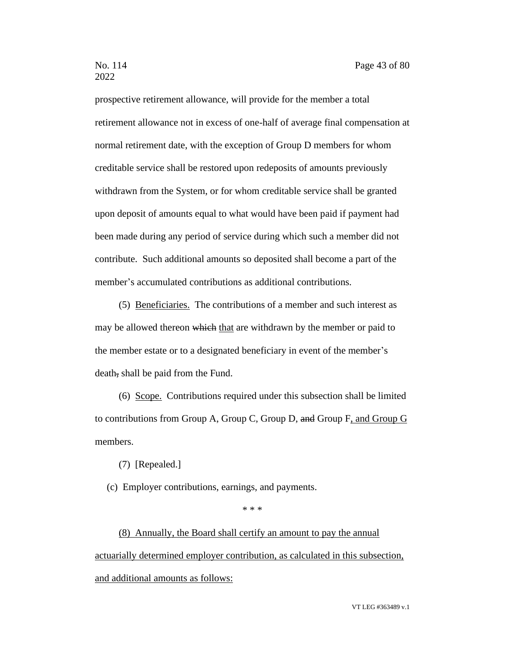prospective retirement allowance, will provide for the member a total retirement allowance not in excess of one-half of average final compensation at normal retirement date, with the exception of Group D members for whom creditable service shall be restored upon redeposits of amounts previously withdrawn from the System, or for whom creditable service shall be granted upon deposit of amounts equal to what would have been paid if payment had been made during any period of service during which such a member did not contribute. Such additional amounts so deposited shall become a part of the member's accumulated contributions as additional contributions.

(5) Beneficiaries. The contributions of a member and such interest as may be allowed thereon which that are withdrawn by the member or paid to the member estate or to a designated beneficiary in event of the member's death, shall be paid from the Fund.

(6) Scope. Contributions required under this subsection shall be limited to contributions from Group A, Group C, Group D, and Group F, and Group G members.

(7) [Repealed.]

(c) Employer contributions, earnings, and payments.

\* \* \*

(8) Annually, the Board shall certify an amount to pay the annual actuarially determined employer contribution, as calculated in this subsection, and additional amounts as follows: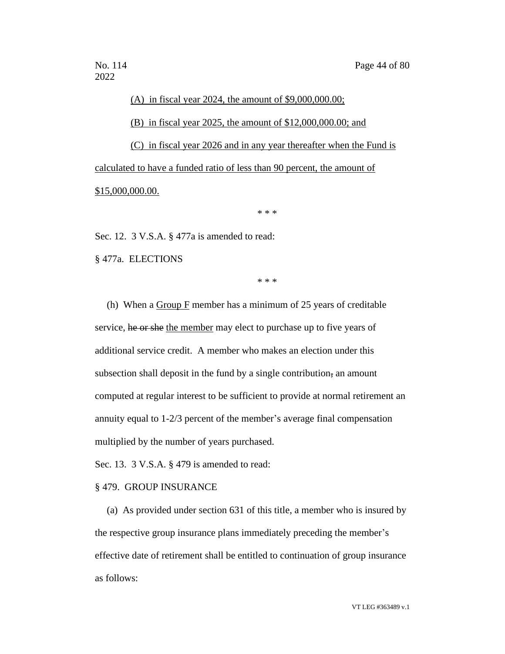# (A) in fiscal year 2024, the amount of \$9,000,000.00; (B) in fiscal year 2025, the amount of \$12,000,000.00; and (C) in fiscal year 2026 and in any year thereafter when the Fund is calculated to have a funded ratio of less than 90 percent, the amount of \$15,000,000.00.

\* \* \*

Sec. 12. 3 V.S.A. § 477a is amended to read:

§ 477a. ELECTIONS

\* \* \*

(h) When a Group F member has a minimum of 25 years of creditable service, he or she the member may elect to purchase up to five years of additional service credit. A member who makes an election under this subsection shall deposit in the fund by a single contribution, an amount computed at regular interest to be sufficient to provide at normal retirement an annuity equal to 1-2/3 percent of the member's average final compensation multiplied by the number of years purchased.

Sec. 13. 3 V.S.A. § 479 is amended to read:

### § 479. GROUP INSURANCE

(a) As provided under section 631 of this title, a member who is insured by the respective group insurance plans immediately preceding the member's effective date of retirement shall be entitled to continuation of group insurance as follows: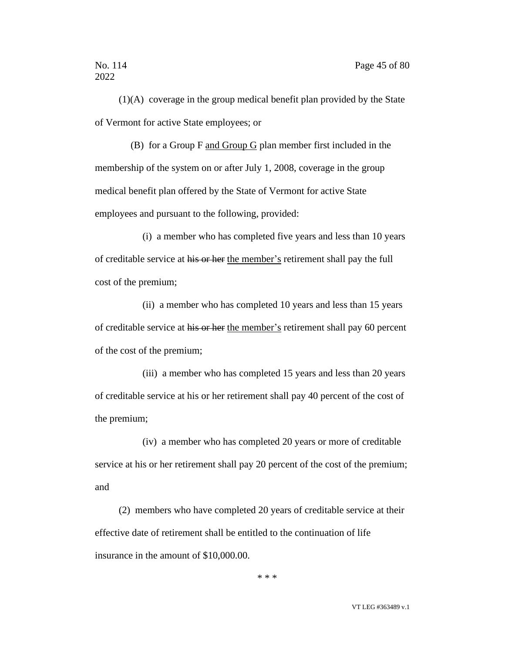(1)(A) coverage in the group medical benefit plan provided by the State of Vermont for active State employees; or

(B) for a Group F and Group G plan member first included in the membership of the system on or after July 1, 2008, coverage in the group medical benefit plan offered by the State of Vermont for active State employees and pursuant to the following, provided:

(i) a member who has completed five years and less than 10 years of creditable service at his or her the member's retirement shall pay the full cost of the premium;

(ii) a member who has completed 10 years and less than 15 years of creditable service at his or her the member's retirement shall pay 60 percent of the cost of the premium;

(iii) a member who has completed 15 years and less than 20 years of creditable service at his or her retirement shall pay 40 percent of the cost of the premium;

(iv) a member who has completed 20 years or more of creditable service at his or her retirement shall pay 20 percent of the cost of the premium; and

(2) members who have completed 20 years of creditable service at their effective date of retirement shall be entitled to the continuation of life insurance in the amount of \$10,000.00.

\* \* \*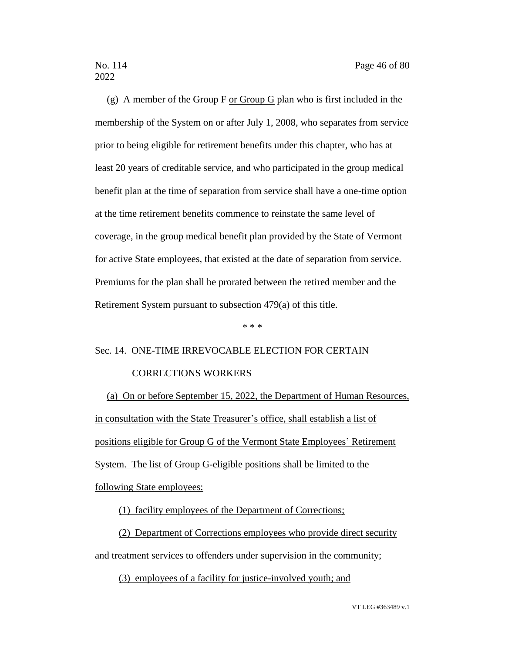(g) A member of the Group F or Group G plan who is first included in the membership of the System on or after July 1, 2008, who separates from service prior to being eligible for retirement benefits under this chapter, who has at least 20 years of creditable service, and who participated in the group medical benefit plan at the time of separation from service shall have a one-time option at the time retirement benefits commence to reinstate the same level of coverage, in the group medical benefit plan provided by the State of Vermont for active State employees, that existed at the date of separation from service. Premiums for the plan shall be prorated between the retired member and the Retirement System pursuant to subsection 479(a) of this title.

#### \* \* \*

### Sec. 14. ONE-TIME IRREVOCABLE ELECTION FOR CERTAIN

### CORRECTIONS WORKERS

(a) On or before September 15, 2022, the Department of Human Resources, in consultation with the State Treasurer's office, shall establish a list of positions eligible for Group G of the Vermont State Employees' Retirement System. The list of Group G-eligible positions shall be limited to the following State employees:

(1) facility employees of the Department of Corrections;

(2) Department of Corrections employees who provide direct security and treatment services to offenders under supervision in the community;

(3) employees of a facility for justice-involved youth; and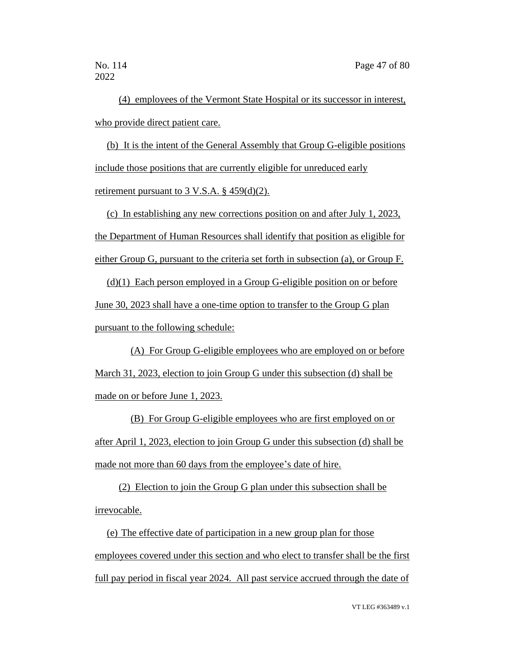(4) employees of the Vermont State Hospital or its successor in interest, who provide direct patient care.

(b) It is the intent of the General Assembly that Group G-eligible positions include those positions that are currently eligible for unreduced early retirement pursuant to 3 V.S.A. § 459(d)(2).

(c) In establishing any new corrections position on and after July 1, 2023, the Department of Human Resources shall identify that position as eligible for either Group G, pursuant to the criteria set forth in subsection (a), or Group F.

(d)(1) Each person employed in a Group G-eligible position on or before June 30, 2023 shall have a one-time option to transfer to the Group G plan pursuant to the following schedule:

(A) For Group G-eligible employees who are employed on or before March 31, 2023, election to join Group G under this subsection (d) shall be made on or before June 1, 2023.

(B) For Group G-eligible employees who are first employed on or after April 1, 2023, election to join Group G under this subsection (d) shall be made not more than 60 days from the employee's date of hire.

(2) Election to join the Group G plan under this subsection shall be irrevocable.

(e) The effective date of participation in a new group plan for those employees covered under this section and who elect to transfer shall be the first full pay period in fiscal year 2024. All past service accrued through the date of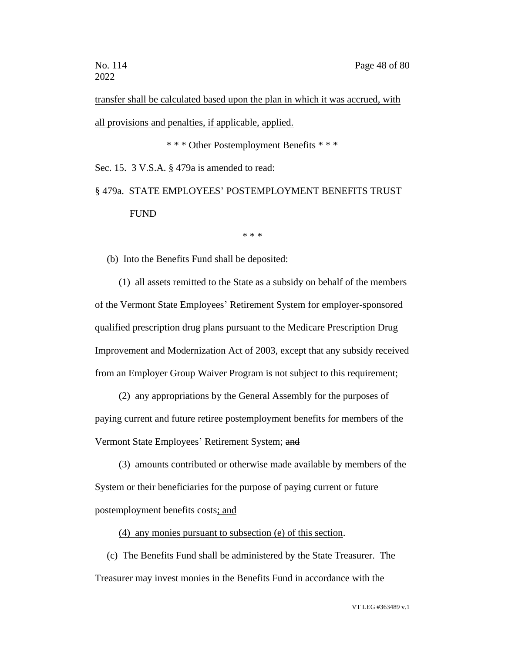transfer shall be calculated based upon the plan in which it was accrued, with all provisions and penalties, if applicable, applied.

\* \* \* Other Postemployment Benefits \* \* \*

Sec. 15. 3 V.S.A. § 479a is amended to read:

§ 479a. STATE EMPLOYEES' POSTEMPLOYMENT BENEFITS TRUST FUND

\* \* \*

(b) Into the Benefits Fund shall be deposited:

(1) all assets remitted to the State as a subsidy on behalf of the members of the Vermont State Employees' Retirement System for employer-sponsored qualified prescription drug plans pursuant to the Medicare Prescription Drug Improvement and Modernization Act of 2003, except that any subsidy received from an Employer Group Waiver Program is not subject to this requirement;

(2) any appropriations by the General Assembly for the purposes of paying current and future retiree postemployment benefits for members of the Vermont State Employees' Retirement System; and

(3) amounts contributed or otherwise made available by members of the System or their beneficiaries for the purpose of paying current or future postemployment benefits costs; and

(4) any monies pursuant to subsection (e) of this section.

(c) The Benefits Fund shall be administered by the State Treasurer. The Treasurer may invest monies in the Benefits Fund in accordance with the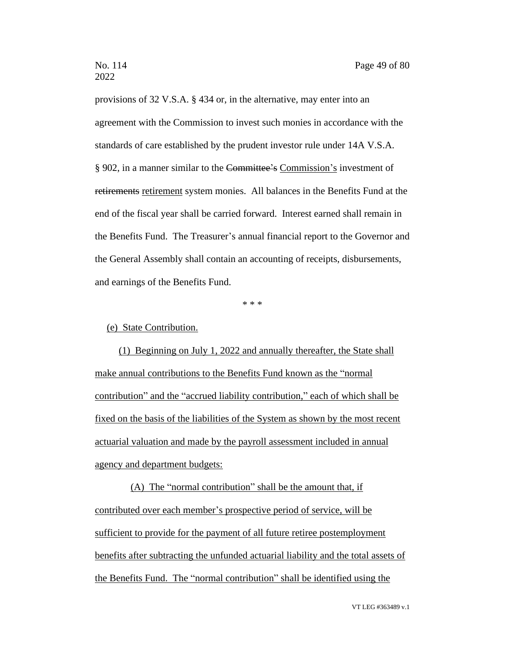provisions of 32 V.S.A. § 434 or, in the alternative, may enter into an agreement with the Commission to invest such monies in accordance with the standards of care established by the prudent investor rule under 14A V.S.A. § 902, in a manner similar to the Committee's Commission's investment of retirements retirement system monies. All balances in the Benefits Fund at the end of the fiscal year shall be carried forward. Interest earned shall remain in the Benefits Fund. The Treasurer's annual financial report to the Governor and the General Assembly shall contain an accounting of receipts, disbursements, and earnings of the Benefits Fund.

\* \* \*

(e) State Contribution.

(1) Beginning on July 1, 2022 and annually thereafter, the State shall make annual contributions to the Benefits Fund known as the "normal contribution" and the "accrued liability contribution," each of which shall be fixed on the basis of the liabilities of the System as shown by the most recent actuarial valuation and made by the payroll assessment included in annual agency and department budgets:

(A) The "normal contribution" shall be the amount that, if contributed over each member's prospective period of service, will be sufficient to provide for the payment of all future retiree postemployment benefits after subtracting the unfunded actuarial liability and the total assets of the Benefits Fund. The "normal contribution" shall be identified using the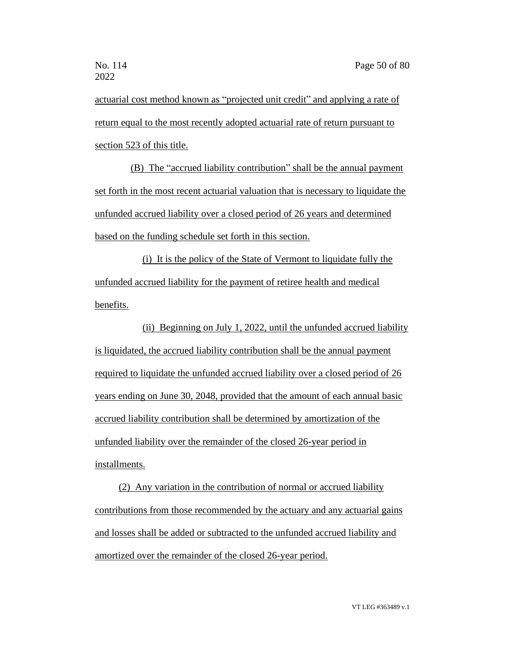actuarial cost method known as "projected unit credit" and applying a rate of return equal to the most recently adopted actuarial rate of return pursuant to section 523 of this title.

(B) The "accrued liability contribution" shall be the annual payment set forth in the most recent actuarial valuation that is necessary to liquidate the unfunded accrued liability over a closed period of 26 years and determined based on the funding schedule set forth in this section.

(i) It is the policy of the State of Vermont to liquidate fully the unfunded accrued liability for the payment of retiree health and medical benefits.

(ii) Beginning on July 1, 2022, until the unfunded accrued liability is liquidated, the accrued liability contribution shall be the annual payment required to liquidate the unfunded accrued liability over a closed period of 26 years ending on June 30, 2048, provided that the amount of each annual basic accrued liability contribution shall be determined by amortization of the unfunded liability over the remainder of the closed 26-year period in installments.

(2) Any variation in the contribution of normal or accrued liability contributions from those recommended by the actuary and any actuarial gains and losses shall be added or subtracted to the unfunded accrued liability and amortized over the remainder of the closed 26-year period.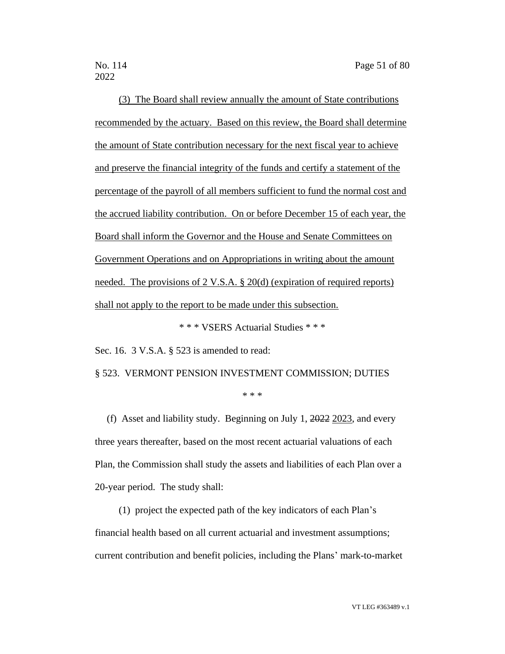(3) The Board shall review annually the amount of State contributions recommended by the actuary. Based on this review, the Board shall determine the amount of State contribution necessary for the next fiscal year to achieve and preserve the financial integrity of the funds and certify a statement of the percentage of the payroll of all members sufficient to fund the normal cost and the accrued liability contribution. On or before December 15 of each year, the Board shall inform the Governor and the House and Senate Committees on Government Operations and on Appropriations in writing about the amount needed. The provisions of 2 V.S.A. § 20(d) (expiration of required reports) shall not apply to the report to be made under this subsection.

\* \* \* VSERS Actuarial Studies \* \* \*

Sec. 16. 3 V.S.A. § 523 is amended to read:

§ 523. VERMONT PENSION INVESTMENT COMMISSION; DUTIES

\* \* \*

(f) Asset and liability study. Beginning on July 1, 2022 2023, and every three years thereafter, based on the most recent actuarial valuations of each Plan, the Commission shall study the assets and liabilities of each Plan over a 20-year period. The study shall:

(1) project the expected path of the key indicators of each Plan's financial health based on all current actuarial and investment assumptions; current contribution and benefit policies, including the Plans' mark-to-market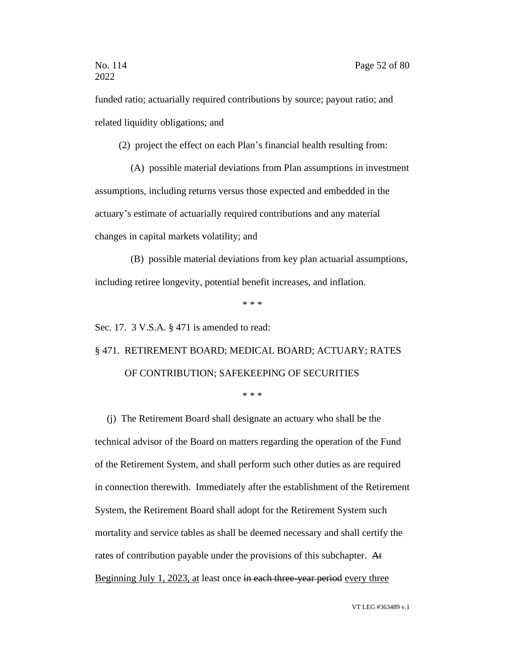funded ratio; actuarially required contributions by source; payout ratio; and related liquidity obligations; and

(2) project the effect on each Plan's financial health resulting from:

(A) possible material deviations from Plan assumptions in investment assumptions, including returns versus those expected and embedded in the actuary's estimate of actuarially required contributions and any material changes in capital markets volatility; and

(B) possible material deviations from key plan actuarial assumptions, including retiree longevity, potential benefit increases, and inflation.

\* \* \*

Sec. 17. 3 V.S.A. § 471 is amended to read:

### § 471. RETIREMENT BOARD; MEDICAL BOARD; ACTUARY; RATES OF CONTRIBUTION; SAFEKEEPING OF SECURITIES

\* \* \*

(j) The Retirement Board shall designate an actuary who shall be the technical advisor of the Board on matters regarding the operation of the Fund of the Retirement System, and shall perform such other duties as are required in connection therewith. Immediately after the establishment of the Retirement System, the Retirement Board shall adopt for the Retirement System such mortality and service tables as shall be deemed necessary and shall certify the rates of contribution payable under the provisions of this subchapter. At Beginning July 1, 2023, at least once in each three-year period every three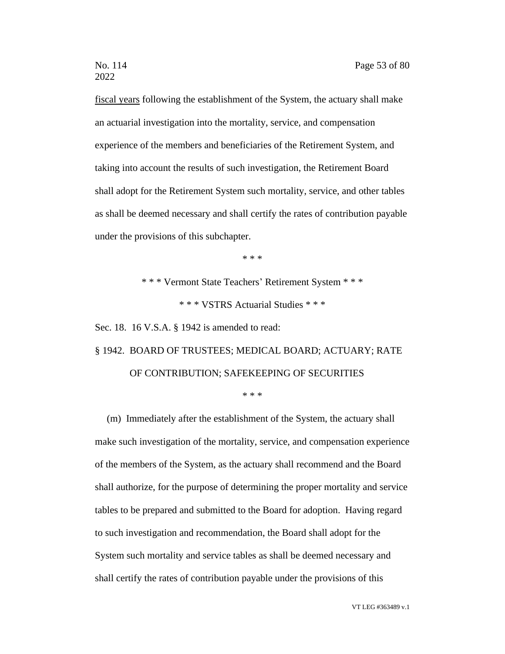fiscal years following the establishment of the System, the actuary shall make an actuarial investigation into the mortality, service, and compensation experience of the members and beneficiaries of the Retirement System, and taking into account the results of such investigation, the Retirement Board shall adopt for the Retirement System such mortality, service, and other tables as shall be deemed necessary and shall certify the rates of contribution payable under the provisions of this subchapter.

\* \* \*

\* \* \* Vermont State Teachers' Retirement System \* \* \* \* \* \* VSTRS Actuarial Studies \* \* \*

Sec. 18. 16 V.S.A. § 1942 is amended to read:

## § 1942. BOARD OF TRUSTEES; MEDICAL BOARD; ACTUARY; RATE OF CONTRIBUTION; SAFEKEEPING OF SECURITIES

\* \* \*

(m) Immediately after the establishment of the System, the actuary shall make such investigation of the mortality, service, and compensation experience of the members of the System, as the actuary shall recommend and the Board shall authorize, for the purpose of determining the proper mortality and service tables to be prepared and submitted to the Board for adoption. Having regard to such investigation and recommendation, the Board shall adopt for the System such mortality and service tables as shall be deemed necessary and shall certify the rates of contribution payable under the provisions of this

VT LEG #363489 v.1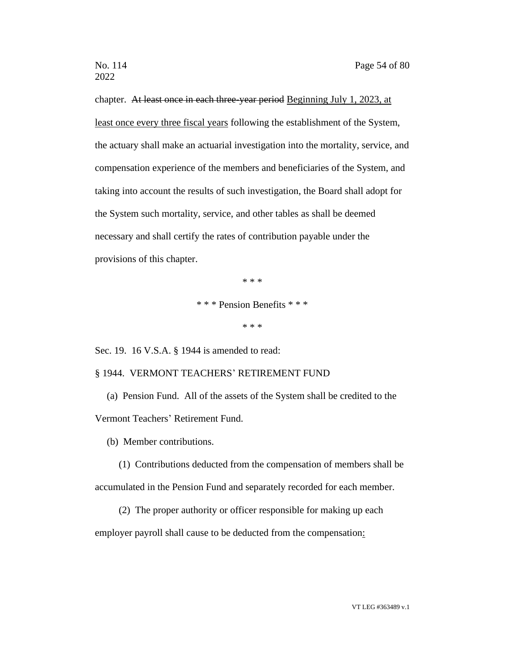chapter. At least once in each three-year period Beginning July 1, 2023, at least once every three fiscal years following the establishment of the System, the actuary shall make an actuarial investigation into the mortality, service, and compensation experience of the members and beneficiaries of the System, and taking into account the results of such investigation, the Board shall adopt for the System such mortality, service, and other tables as shall be deemed necessary and shall certify the rates of contribution payable under the provisions of this chapter.

\* \* \*

\* \* \* Pension Benefits \* \* \*

\* \* \*

Sec. 19. 16 V.S.A. § 1944 is amended to read:

### § 1944. VERMONT TEACHERS' RETIREMENT FUND

(a) Pension Fund. All of the assets of the System shall be credited to the Vermont Teachers' Retirement Fund.

(b) Member contributions.

- (1) Contributions deducted from the compensation of members shall be accumulated in the Pension Fund and separately recorded for each member.
	- (2) The proper authority or officer responsible for making up each

employer payroll shall cause to be deducted from the compensation: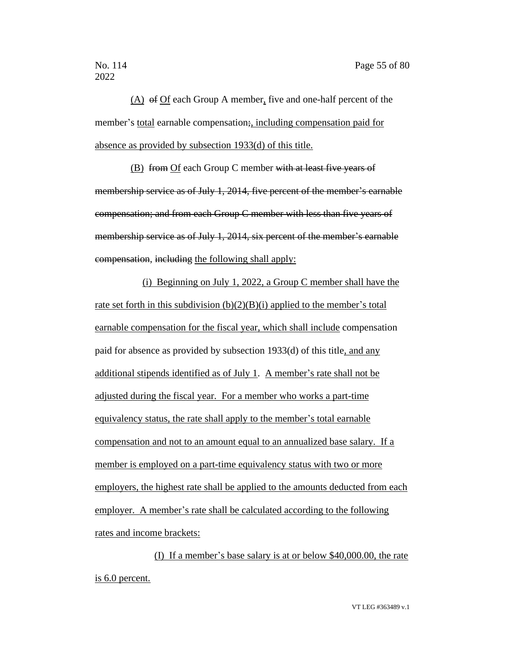(A) of Of each Group A member, five and one-half percent of the member's total earnable compensation; including compensation paid for absence as provided by subsection 1933(d) of this title.

(B) from Of each Group C member with at least five years of membership service as of July 1, 2014, five percent of the member's earnable compensation; and from each Group C member with less than five years of membership service as of July 1, 2014, six percent of the member's earnable compensation, including the following shall apply:

(i) Beginning on July 1, 2022, a Group C member shall have the rate set forth in this subdivision  $(b)(2)(B)(i)$  applied to the member's total earnable compensation for the fiscal year, which shall include compensation paid for absence as provided by subsection 1933(d) of this title, and any additional stipends identified as of July 1. A member's rate shall not be adjusted during the fiscal year. For a member who works a part-time equivalency status, the rate shall apply to the member's total earnable compensation and not to an amount equal to an annualized base salary. If a member is employed on a part-time equivalency status with two or more employers, the highest rate shall be applied to the amounts deducted from each employer. A member's rate shall be calculated according to the following rates and income brackets:

(I) If a member's base salary is at or below \$40,000.00, the rate is 6.0 percent.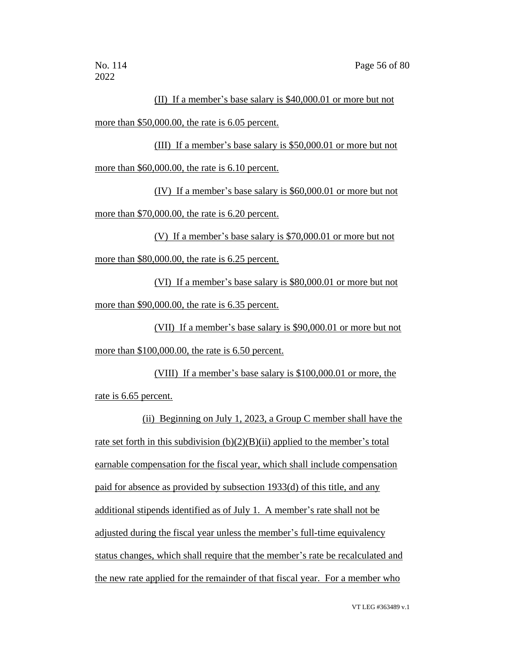### (II) If a member's base salary is \$40,000.01 or more but not more than \$50,000.00, the rate is 6.05 percent.

(III) If a member's base salary is \$50,000.01 or more but not more than \$60,000.00, the rate is 6.10 percent.

(IV) If a member's base salary is \$60,000.01 or more but not more than \$70,000.00, the rate is 6.20 percent.

(V) If a member's base salary is \$70,000.01 or more but not more than \$80,000.00, the rate is 6.25 percent.

(VI) If a member's base salary is \$80,000.01 or more but not more than \$90,000.00, the rate is 6.35 percent.

(VII) If a member's base salary is \$90,000.01 or more but not more than \$100,000.00, the rate is 6.50 percent.

(VIII) If a member's base salary is \$100,000.01 or more, the rate is 6.65 percent.

(ii) Beginning on July 1, 2023, a Group C member shall have the rate set forth in this subdivision  $(b)(2)(B)(ii)$  applied to the member's total earnable compensation for the fiscal year, which shall include compensation paid for absence as provided by subsection 1933(d) of this title, and any additional stipends identified as of July 1. A member's rate shall not be adjusted during the fiscal year unless the member's full-time equivalency status changes, which shall require that the member's rate be recalculated and the new rate applied for the remainder of that fiscal year. For a member who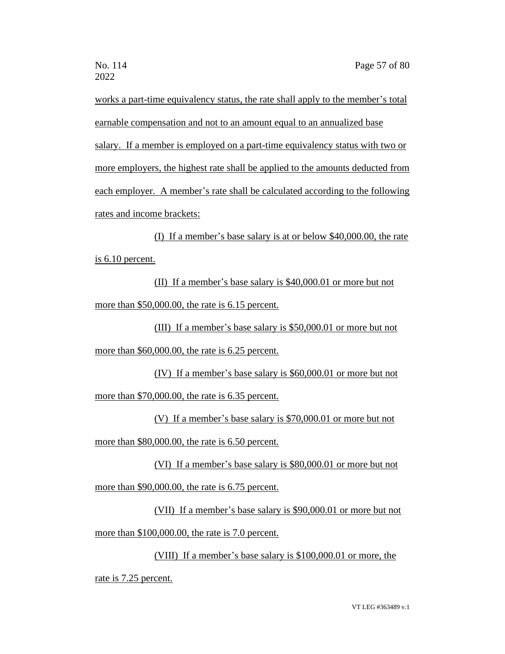works a part-time equivalency status, the rate shall apply to the member's total earnable compensation and not to an amount equal to an annualized base salary. If a member is employed on a part-time equivalency status with two or more employers, the highest rate shall be applied to the amounts deducted from each employer. A member's rate shall be calculated according to the following rates and income brackets:

(I) If a member's base salary is at or below \$40,000.00, the rate is 6.10 percent.

(II) If a member's base salary is \$40,000.01 or more but not more than \$50,000.00, the rate is 6.15 percent.

(III) If a member's base salary is \$50,000.01 or more but not more than \$60,000.00, the rate is 6.25 percent.

(IV) If a member's base salary is \$60,000.01 or more but not more than \$70,000.00, the rate is 6.35 percent.

(V) If a member's base salary is \$70,000.01 or more but not more than \$80,000.00, the rate is 6.50 percent.

(VI) If a member's base salary is \$80,000.01 or more but not

more than \$90,000.00, the rate is 6.75 percent.

(VII) If a member's base salary is \$90,000.01 or more but not more than \$100,000.00, the rate is 7.0 percent.

(VIII) If a member's base salary is \$100,000.01 or more, the

rate is 7.25 percent.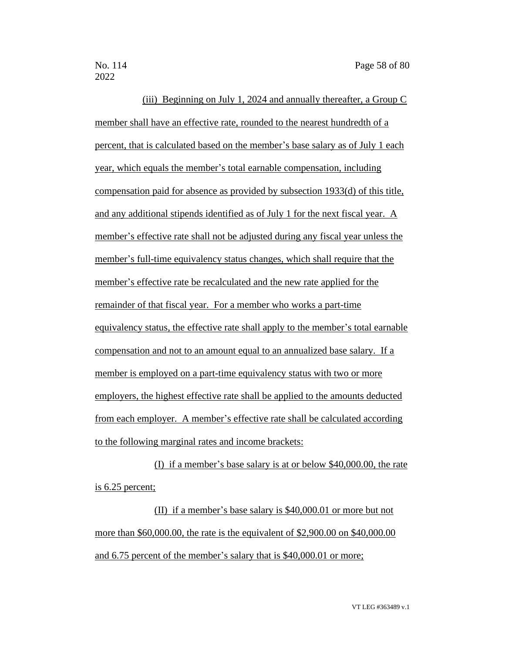(iii) Beginning on July 1, 2024 and annually thereafter, a Group C member shall have an effective rate, rounded to the nearest hundredth of a percent, that is calculated based on the member's base salary as of July 1 each year, which equals the member's total earnable compensation, including compensation paid for absence as provided by subsection 1933(d) of this title, and any additional stipends identified as of July 1 for the next fiscal year. A member's effective rate shall not be adjusted during any fiscal year unless the member's full-time equivalency status changes, which shall require that the member's effective rate be recalculated and the new rate applied for the remainder of that fiscal year. For a member who works a part-time equivalency status, the effective rate shall apply to the member's total earnable compensation and not to an amount equal to an annualized base salary. If a member is employed on a part-time equivalency status with two or more employers, the highest effective rate shall be applied to the amounts deducted from each employer. A member's effective rate shall be calculated according to the following marginal rates and income brackets:

(I) if a member's base salary is at or below \$40,000.00, the rate is 6.25 percent;

(II) if a member's base salary is \$40,000.01 or more but not more than \$60,000.00, the rate is the equivalent of \$2,900.00 on \$40,000.00 and 6.75 percent of the member's salary that is \$40,000.01 or more;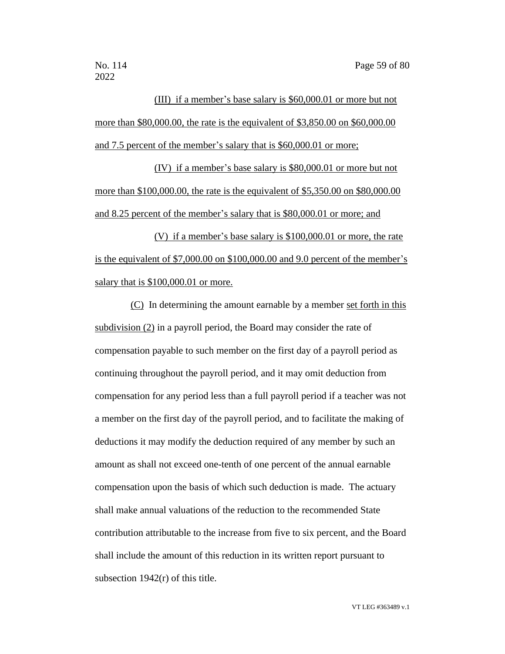(III) if a member's base salary is \$60,000.01 or more but not more than \$80,000.00, the rate is the equivalent of \$3,850.00 on \$60,000.00 and 7.5 percent of the member's salary that is \$60,000.01 or more;

(IV) if a member's base salary is \$80,000.01 or more but not more than \$100,000.00, the rate is the equivalent of \$5,350.00 on \$80,000.00 and 8.25 percent of the member's salary that is \$80,000.01 or more; and

(V) if a member's base salary is \$100,000.01 or more, the rate is the equivalent of \$7,000.00 on \$100,000.00 and 9.0 percent of the member's salary that is \$100,000.01 or more.

(C) In determining the amount earnable by a member set forth in this subdivision (2) in a payroll period, the Board may consider the rate of compensation payable to such member on the first day of a payroll period as continuing throughout the payroll period, and it may omit deduction from compensation for any period less than a full payroll period if a teacher was not a member on the first day of the payroll period, and to facilitate the making of deductions it may modify the deduction required of any member by such an amount as shall not exceed one-tenth of one percent of the annual earnable compensation upon the basis of which such deduction is made. The actuary shall make annual valuations of the reduction to the recommended State contribution attributable to the increase from five to six percent, and the Board shall include the amount of this reduction in its written report pursuant to subsection 1942(r) of this title.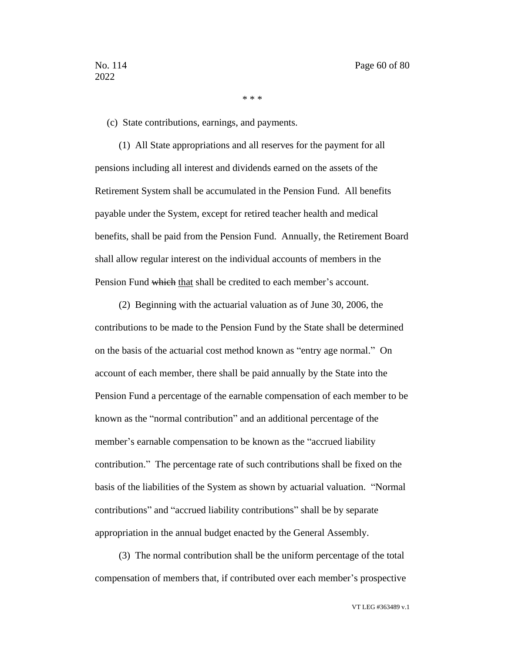\* \* \*

(c) State contributions, earnings, and payments.

(1) All State appropriations and all reserves for the payment for all pensions including all interest and dividends earned on the assets of the Retirement System shall be accumulated in the Pension Fund. All benefits payable under the System, except for retired teacher health and medical benefits, shall be paid from the Pension Fund. Annually, the Retirement Board shall allow regular interest on the individual accounts of members in the Pension Fund which that shall be credited to each member's account.

(2) Beginning with the actuarial valuation as of June 30, 2006, the contributions to be made to the Pension Fund by the State shall be determined on the basis of the actuarial cost method known as "entry age normal." On account of each member, there shall be paid annually by the State into the Pension Fund a percentage of the earnable compensation of each member to be known as the "normal contribution" and an additional percentage of the member's earnable compensation to be known as the "accrued liability contribution." The percentage rate of such contributions shall be fixed on the basis of the liabilities of the System as shown by actuarial valuation. "Normal contributions" and "accrued liability contributions" shall be by separate appropriation in the annual budget enacted by the General Assembly.

(3) The normal contribution shall be the uniform percentage of the total compensation of members that, if contributed over each member's prospective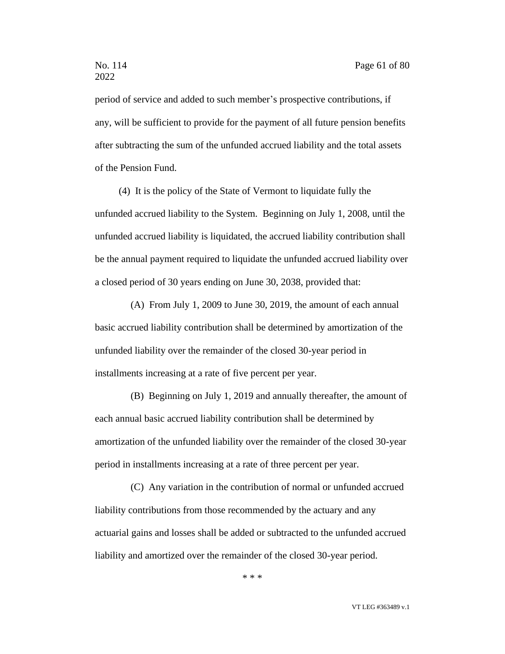period of service and added to such member's prospective contributions, if any, will be sufficient to provide for the payment of all future pension benefits after subtracting the sum of the unfunded accrued liability and the total assets of the Pension Fund.

(4) It is the policy of the State of Vermont to liquidate fully the unfunded accrued liability to the System. Beginning on July 1, 2008, until the unfunded accrued liability is liquidated, the accrued liability contribution shall be the annual payment required to liquidate the unfunded accrued liability over a closed period of 30 years ending on June 30, 2038, provided that:

(A) From July 1, 2009 to June 30, 2019, the amount of each annual basic accrued liability contribution shall be determined by amortization of the unfunded liability over the remainder of the closed 30-year period in installments increasing at a rate of five percent per year.

(B) Beginning on July 1, 2019 and annually thereafter, the amount of each annual basic accrued liability contribution shall be determined by amortization of the unfunded liability over the remainder of the closed 30-year period in installments increasing at a rate of three percent per year.

(C) Any variation in the contribution of normal or unfunded accrued liability contributions from those recommended by the actuary and any actuarial gains and losses shall be added or subtracted to the unfunded accrued liability and amortized over the remainder of the closed 30-year period.

\* \* \*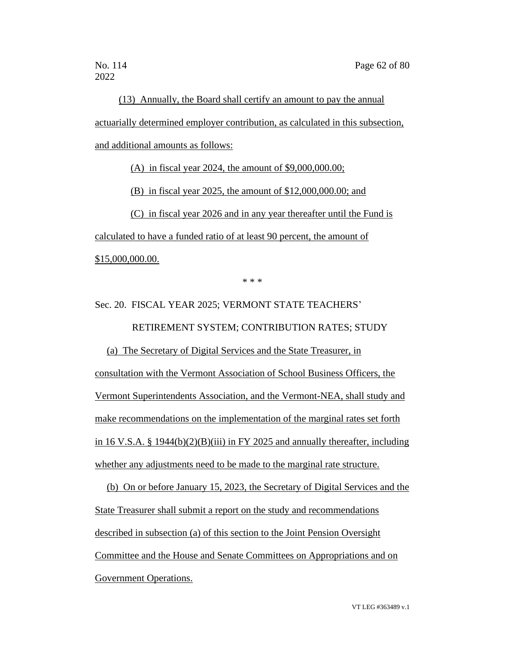(13) Annually, the Board shall certify an amount to pay the annual actuarially determined employer contribution, as calculated in this subsection, and additional amounts as follows:

(A) in fiscal year 2024, the amount of \$9,000,000.00;

(B) in fiscal year 2025, the amount of \$12,000,000.00; and

(C) in fiscal year 2026 and in any year thereafter until the Fund is calculated to have a funded ratio of at least 90 percent, the amount of \$15,000,000.00.

\* \* \*

# Sec. 20. FISCAL YEAR 2025; VERMONT STATE TEACHERS' RETIREMENT SYSTEM; CONTRIBUTION RATES; STUDY

(a) The Secretary of Digital Services and the State Treasurer, in consultation with the Vermont Association of School Business Officers, the Vermont Superintendents Association, and the Vermont-NEA, shall study and make recommendations on the implementation of the marginal rates set forth in 16 V.S.A. § 1944(b)(2)(B)(iii) in FY 2025 and annually thereafter, including whether any adjustments need to be made to the marginal rate structure.

(b) On or before January 15, 2023, the Secretary of Digital Services and the State Treasurer shall submit a report on the study and recommendations described in subsection (a) of this section to the Joint Pension Oversight Committee and the House and Senate Committees on Appropriations and on Government Operations.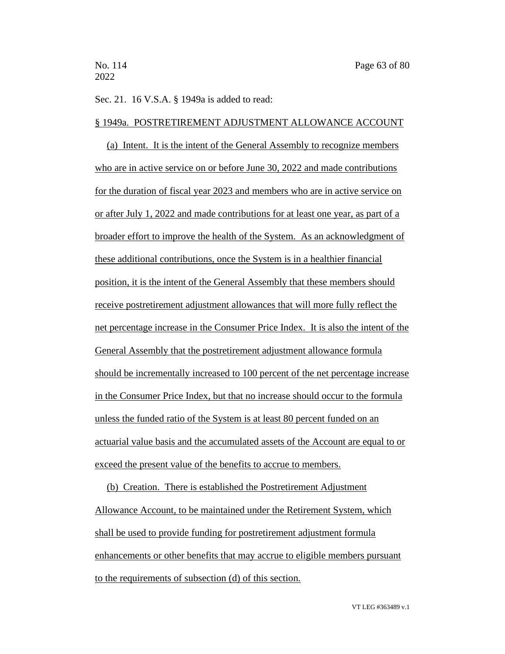#### Sec. 21. 16 V.S.A. § 1949a is added to read:

### § 1949a. POSTRETIREMENT ADJUSTMENT ALLOWANCE ACCOUNT

(a) Intent. It is the intent of the General Assembly to recognize members who are in active service on or before June 30, 2022 and made contributions for the duration of fiscal year 2023 and members who are in active service on or after July 1, 2022 and made contributions for at least one year, as part of a broader effort to improve the health of the System. As an acknowledgment of these additional contributions, once the System is in a healthier financial position, it is the intent of the General Assembly that these members should receive postretirement adjustment allowances that will more fully reflect the net percentage increase in the Consumer Price Index. It is also the intent of the General Assembly that the postretirement adjustment allowance formula should be incrementally increased to 100 percent of the net percentage increase in the Consumer Price Index, but that no increase should occur to the formula unless the funded ratio of the System is at least 80 percent funded on an actuarial value basis and the accumulated assets of the Account are equal to or exceed the present value of the benefits to accrue to members.

(b) Creation. There is established the Postretirement Adjustment Allowance Account, to be maintained under the Retirement System, which shall be used to provide funding for postretirement adjustment formula enhancements or other benefits that may accrue to eligible members pursuant to the requirements of subsection (d) of this section.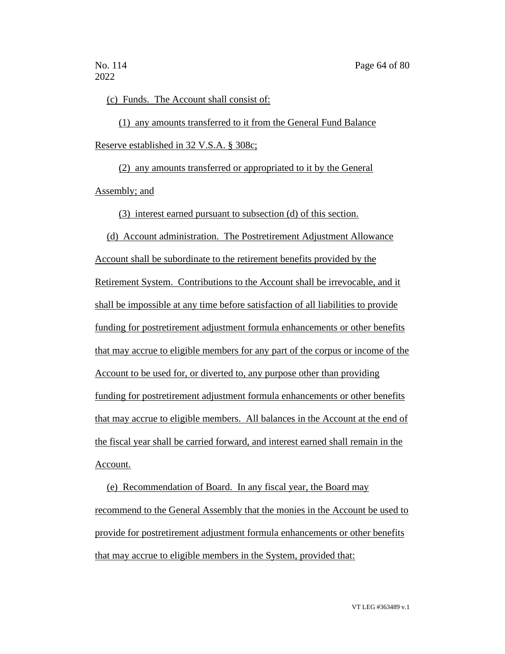(c) Funds. The Account shall consist of:

(1) any amounts transferred to it from the General Fund Balance Reserve established in 32 V.S.A. § 308c;

(2) any amounts transferred or appropriated to it by the General Assembly; and

(3) interest earned pursuant to subsection (d) of this section.

(d) Account administration. The Postretirement Adjustment Allowance Account shall be subordinate to the retirement benefits provided by the Retirement System. Contributions to the Account shall be irrevocable, and it shall be impossible at any time before satisfaction of all liabilities to provide funding for postretirement adjustment formula enhancements or other benefits that may accrue to eligible members for any part of the corpus or income of the Account to be used for, or diverted to, any purpose other than providing funding for postretirement adjustment formula enhancements or other benefits that may accrue to eligible members. All balances in the Account at the end of the fiscal year shall be carried forward, and interest earned shall remain in the Account.

(e) Recommendation of Board. In any fiscal year, the Board may recommend to the General Assembly that the monies in the Account be used to provide for postretirement adjustment formula enhancements or other benefits that may accrue to eligible members in the System, provided that: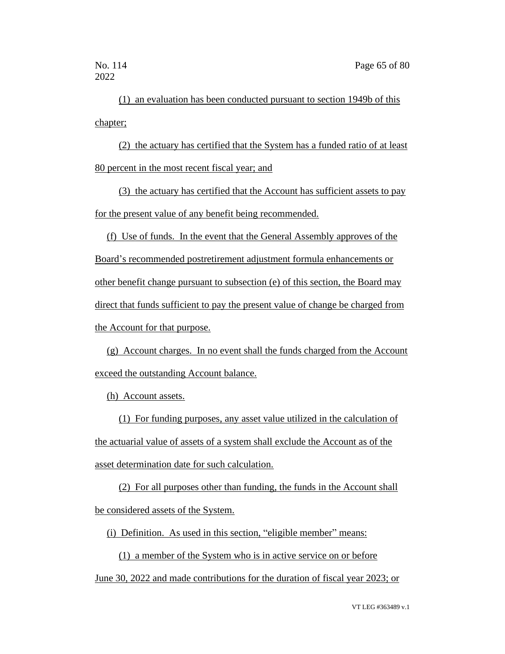(1) an evaluation has been conducted pursuant to section 1949b of this chapter;

(2) the actuary has certified that the System has a funded ratio of at least 80 percent in the most recent fiscal year; and

(3) the actuary has certified that the Account has sufficient assets to pay for the present value of any benefit being recommended.

(f) Use of funds. In the event that the General Assembly approves of the Board's recommended postretirement adjustment formula enhancements or other benefit change pursuant to subsection (e) of this section, the Board may direct that funds sufficient to pay the present value of change be charged from the Account for that purpose.

(g) Account charges. In no event shall the funds charged from the Account exceed the outstanding Account balance.

(h) Account assets.

(1) For funding purposes, any asset value utilized in the calculation of the actuarial value of assets of a system shall exclude the Account as of the asset determination date for such calculation.

(2) For all purposes other than funding, the funds in the Account shall be considered assets of the System.

(i) Definition. As used in this section, "eligible member" means:

(1) a member of the System who is in active service on or before

June 30, 2022 and made contributions for the duration of fiscal year 2023; or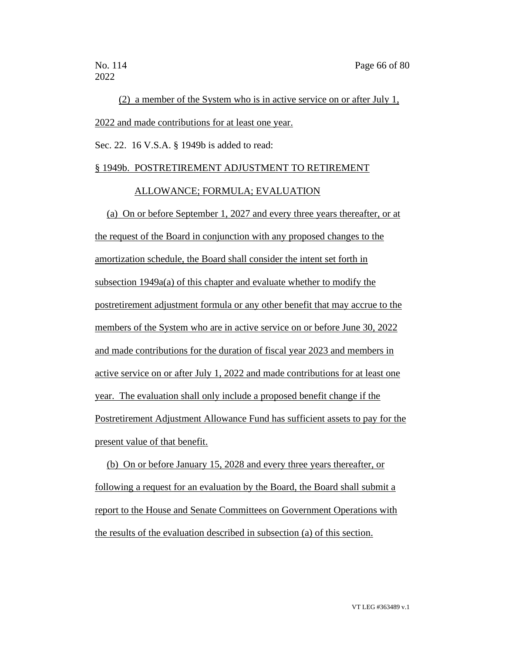(2) a member of the System who is in active service on or after July 1, 2022 and made contributions for at least one year.

Sec. 22. 16 V.S.A. § 1949b is added to read:

### § 1949b. POSTRETIREMENT ADJUSTMENT TO RETIREMENT

### ALLOWANCE; FORMULA; EVALUATION

(a) On or before September 1, 2027 and every three years thereafter, or at the request of the Board in conjunction with any proposed changes to the amortization schedule, the Board shall consider the intent set forth in subsection 1949a(a) of this chapter and evaluate whether to modify the postretirement adjustment formula or any other benefit that may accrue to the members of the System who are in active service on or before June 30, 2022 and made contributions for the duration of fiscal year 2023 and members in active service on or after July 1, 2022 and made contributions for at least one year. The evaluation shall only include a proposed benefit change if the Postretirement Adjustment Allowance Fund has sufficient assets to pay for the present value of that benefit.

(b) On or before January 15, 2028 and every three years thereafter, or following a request for an evaluation by the Board, the Board shall submit a report to the House and Senate Committees on Government Operations with the results of the evaluation described in subsection (a) of this section.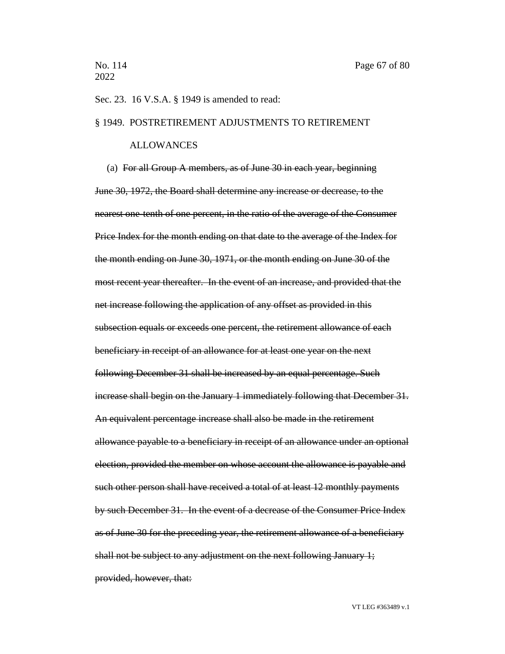#### Sec. 23. 16 V.S.A. § 1949 is amended to read:

#### § 1949. POSTRETIREMENT ADJUSTMENTS TO RETIREMENT

#### ALLOWANCES

(a) For all Group A members, as of June 30 in each year, beginning June 30, 1972, the Board shall determine any increase or decrease, to the nearest one-tenth of one percent, in the ratio of the average of the Consumer Price Index for the month ending on that date to the average of the Index for the month ending on June 30, 1971, or the month ending on June 30 of the most recent year thereafter. In the event of an increase, and provided that the net increase following the application of any offset as provided in this subsection equals or exceeds one percent, the retirement allowance of each beneficiary in receipt of an allowance for at least one year on the next following December 31 shall be increased by an equal percentage. Such increase shall begin on the January 1 immediately following that December 31. An equivalent percentage increase shall also be made in the retirement allowance payable to a beneficiary in receipt of an allowance under an optional election, provided the member on whose account the allowance is payable and such other person shall have received a total of at least 12 monthly payments by such December 31. In the event of a decrease of the Consumer Price Index as of June 30 for the preceding year, the retirement allowance of a beneficiary shall not be subject to any adjustment on the next following January 1; provided, however, that: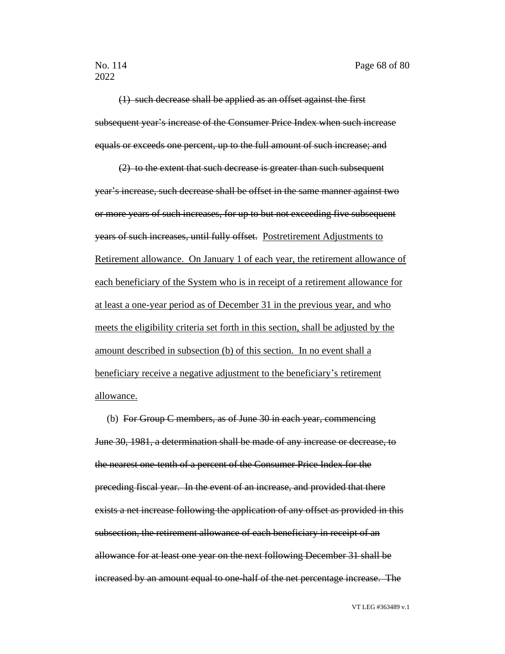(1) such decrease shall be applied as an offset against the first subsequent year's increase of the Consumer Price Index when such increase equals or exceeds one percent, up to the full amount of such increase; and

(2) to the extent that such decrease is greater than such subsequent year's increase, such decrease shall be offset in the same manner against two or more years of such increases, for up to but not exceeding five subsequent years of such increases, until fully offset. Postretirement Adjustments to Retirement allowance. On January 1 of each year, the retirement allowance of each beneficiary of the System who is in receipt of a retirement allowance for at least a one-year period as of December 31 in the previous year, and who meets the eligibility criteria set forth in this section, shall be adjusted by the amount described in subsection (b) of this section. In no event shall a beneficiary receive a negative adjustment to the beneficiary's retirement allowance.

(b) For Group C members, as of June  $30$  in each year, commencing June 30, 1981, a determination shall be made of any increase or decrease, to the nearest one-tenth of a percent of the Consumer Price Index for the preceding fiscal year. In the event of an increase, and provided that there exists a net increase following the application of any offset as provided in this subsection, the retirement allowance of each beneficiary in receipt of an allowance for at least one year on the next following December 31 shall be increased by an amount equal to one-half of the net percentage increase. The

VT LEG #363489 v.1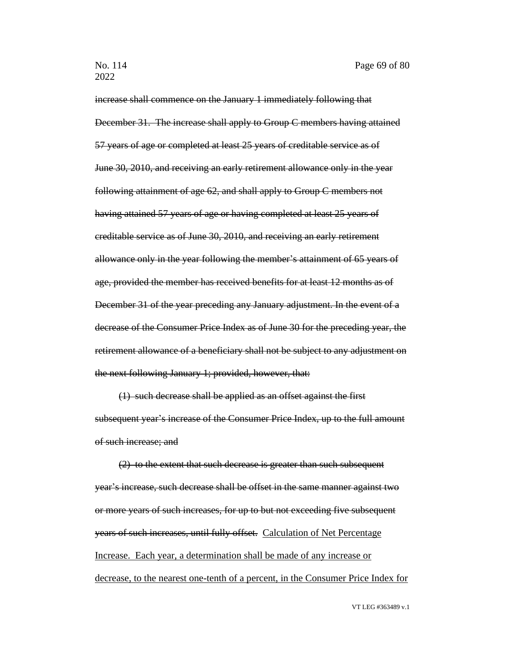increase shall commence on the January 1 immediately following that December 31. The increase shall apply to Group C members having attained 57 years of age or completed at least 25 years of creditable service as of June 30, 2010, and receiving an early retirement allowance only in the year following attainment of age 62, and shall apply to Group C members not having attained 57 years of age or having completed at least 25 years of creditable service as of June 30, 2010, and receiving an early retirement allowance only in the year following the member's attainment of 65 years of age, provided the member has received benefits for at least 12 months as of December 31 of the year preceding any January adjustment. In the event of a decrease of the Consumer Price Index as of June 30 for the preceding year, the retirement allowance of a beneficiary shall not be subject to any adjustment on the next following January 1; provided, however, that:

(1) such decrease shall be applied as an offset against the first subsequent year's increase of the Consumer Price Index, up to the full amount of such increase; and

(2) to the extent that such decrease is greater than such subsequent year's increase, such decrease shall be offset in the same manner against two or more years of such increases, for up to but not exceeding five subsequent years of such increases, until fully offset. Calculation of Net Percentage Increase. Each year, a determination shall be made of any increase or decrease, to the nearest one-tenth of a percent, in the Consumer Price Index for

VT LEG #363489 v.1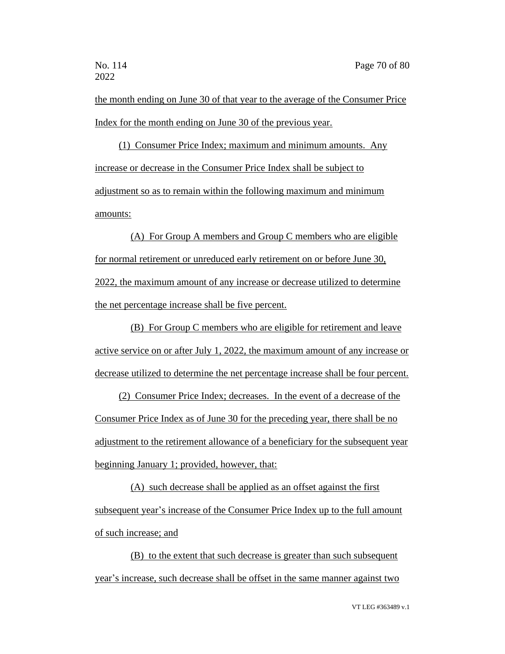the month ending on June 30 of that year to the average of the Consumer Price Index for the month ending on June 30 of the previous year.

(1) Consumer Price Index; maximum and minimum amounts. Any increase or decrease in the Consumer Price Index shall be subject to adjustment so as to remain within the following maximum and minimum amounts:

(A) For Group A members and Group C members who are eligible for normal retirement or unreduced early retirement on or before June 30, 2022, the maximum amount of any increase or decrease utilized to determine the net percentage increase shall be five percent.

(B) For Group C members who are eligible for retirement and leave active service on or after July 1, 2022, the maximum amount of any increase or decrease utilized to determine the net percentage increase shall be four percent.

(2) Consumer Price Index; decreases. In the event of a decrease of the Consumer Price Index as of June 30 for the preceding year, there shall be no adjustment to the retirement allowance of a beneficiary for the subsequent year beginning January 1; provided, however, that:

(A) such decrease shall be applied as an offset against the first subsequent year's increase of the Consumer Price Index up to the full amount of such increase; and

(B) to the extent that such decrease is greater than such subsequent year's increase, such decrease shall be offset in the same manner against two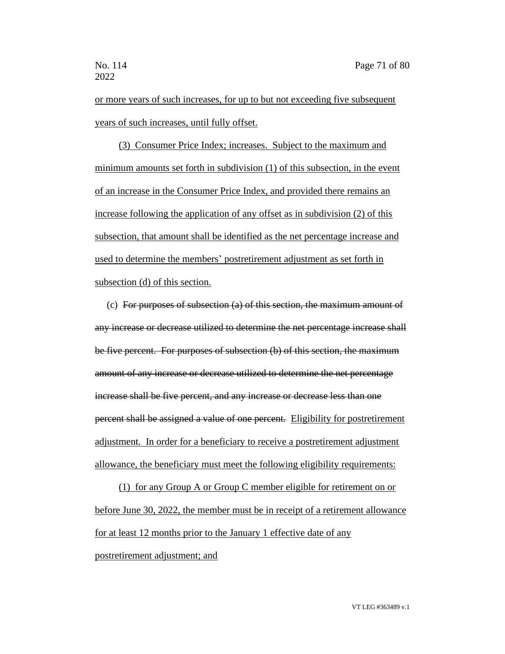or more years of such increases, for up to but not exceeding five subsequent years of such increases, until fully offset.

(3) Consumer Price Index; increases. Subject to the maximum and minimum amounts set forth in subdivision (1) of this subsection, in the event of an increase in the Consumer Price Index, and provided there remains an increase following the application of any offset as in subdivision (2) of this subsection, that amount shall be identified as the net percentage increase and used to determine the members' postretirement adjustment as set forth in subsection (d) of this section.

(c) For purposes of subsection (a) of this section, the maximum amount of any increase or decrease utilized to determine the net percentage increase shall be five percent. For purposes of subsection (b) of this section, the maximum amount of any increase or decrease utilized to determine the net percentage increase shall be five percent, and any increase or decrease less than one percent shall be assigned a value of one percent. Eligibility for postretirement adjustment. In order for a beneficiary to receive a postretirement adjustment allowance, the beneficiary must meet the following eligibility requirements:

(1) for any Group A or Group C member eligible for retirement on or before June 30, 2022, the member must be in receipt of a retirement allowance for at least 12 months prior to the January 1 effective date of any postretirement adjustment; and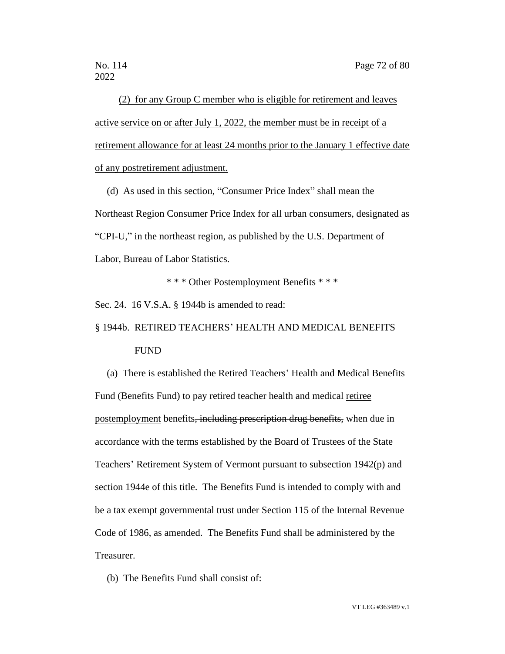(2) for any Group C member who is eligible for retirement and leaves active service on or after July 1, 2022, the member must be in receipt of a retirement allowance for at least 24 months prior to the January 1 effective date of any postretirement adjustment.

(d) As used in this section, "Consumer Price Index" shall mean the Northeast Region Consumer Price Index for all urban consumers, designated as "CPI-U," in the northeast region, as published by the U.S. Department of Labor, Bureau of Labor Statistics.

\* \* \* Other Postemployment Benefits \* \* \*

Sec. 24. 16 V.S.A. § 1944b is amended to read:

§ 1944b. RETIRED TEACHERS' HEALTH AND MEDICAL BENEFITS FUND

(a) There is established the Retired Teachers' Health and Medical Benefits Fund (Benefits Fund) to pay retired teacher health and medical retiree postemployment benefits, including prescription drug benefits, when due in accordance with the terms established by the Board of Trustees of the State Teachers' Retirement System of Vermont pursuant to subsection 1942(p) and section 1944e of this title. The Benefits Fund is intended to comply with and be a tax exempt governmental trust under Section 115 of the Internal Revenue Code of 1986, as amended. The Benefits Fund shall be administered by the Treasurer.

(b) The Benefits Fund shall consist of:

VT LEG #363489 v.1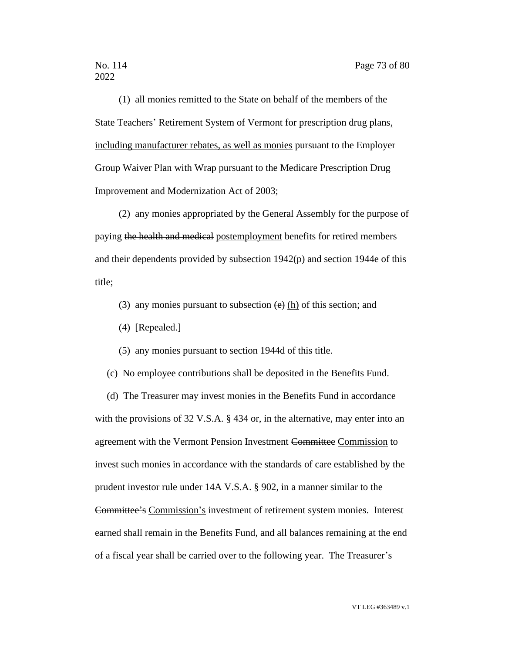## 2022

(1) all monies remitted to the State on behalf of the members of the State Teachers' Retirement System of Vermont for prescription drug plans, including manufacturer rebates, as well as monies pursuant to the Employer Group Waiver Plan with Wrap pursuant to the Medicare Prescription Drug Improvement and Modernization Act of 2003;

(2) any monies appropriated by the General Assembly for the purpose of paying the health and medical postemployment benefits for retired members and their dependents provided by subsection 1942(p) and section 1944e of this title;

- (3) any monies pursuant to subsection  $\left(\frac{e}{e}\right)$  (h) of this section; and
- (4) [Repealed.]

(5) any monies pursuant to section 1944d of this title.

(c) No employee contributions shall be deposited in the Benefits Fund.

(d) The Treasurer may invest monies in the Benefits Fund in accordance with the provisions of 32 V.S.A. § 434 or, in the alternative, may enter into an agreement with the Vermont Pension Investment Committee Commission to invest such monies in accordance with the standards of care established by the prudent investor rule under 14A V.S.A. § 902, in a manner similar to the Committee's Commission's investment of retirement system monies. Interest earned shall remain in the Benefits Fund, and all balances remaining at the end of a fiscal year shall be carried over to the following year. The Treasurer's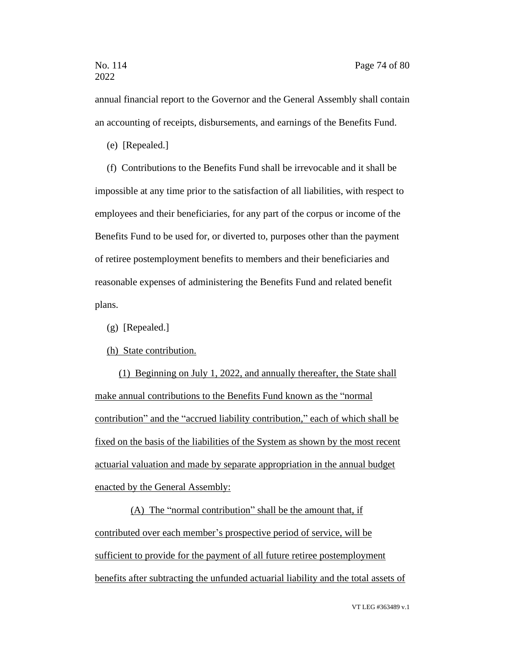annual financial report to the Governor and the General Assembly shall contain an accounting of receipts, disbursements, and earnings of the Benefits Fund.

(e) [Repealed.]

(f) Contributions to the Benefits Fund shall be irrevocable and it shall be impossible at any time prior to the satisfaction of all liabilities, with respect to employees and their beneficiaries, for any part of the corpus or income of the Benefits Fund to be used for, or diverted to, purposes other than the payment of retiree postemployment benefits to members and their beneficiaries and reasonable expenses of administering the Benefits Fund and related benefit plans.

(g) [Repealed.]

(h) State contribution.

(1) Beginning on July 1, 2022, and annually thereafter, the State shall make annual contributions to the Benefits Fund known as the "normal contribution" and the "accrued liability contribution," each of which shall be fixed on the basis of the liabilities of the System as shown by the most recent actuarial valuation and made by separate appropriation in the annual budget enacted by the General Assembly:

(A) The "normal contribution" shall be the amount that, if contributed over each member's prospective period of service, will be sufficient to provide for the payment of all future retiree postemployment benefits after subtracting the unfunded actuarial liability and the total assets of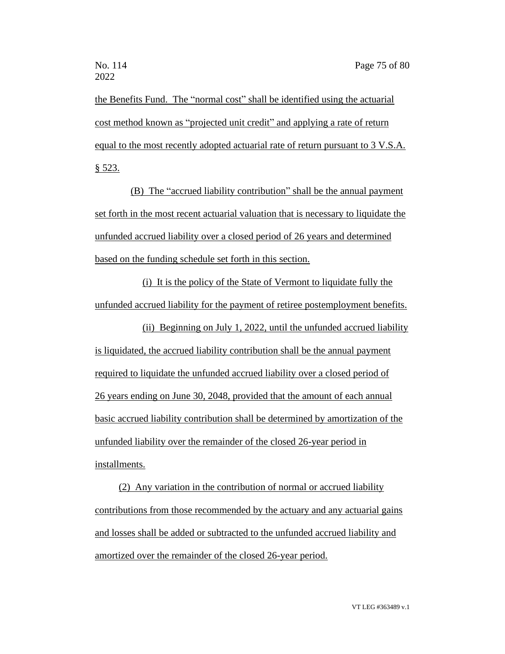the Benefits Fund. The "normal cost" shall be identified using the actuarial cost method known as "projected unit credit" and applying a rate of return equal to the most recently adopted actuarial rate of return pursuant to 3 V.S.A. § 523.

(B) The "accrued liability contribution" shall be the annual payment set forth in the most recent actuarial valuation that is necessary to liquidate the unfunded accrued liability over a closed period of 26 years and determined based on the funding schedule set forth in this section.

(i) It is the policy of the State of Vermont to liquidate fully the unfunded accrued liability for the payment of retiree postemployment benefits.

(ii) Beginning on July 1, 2022, until the unfunded accrued liability is liquidated, the accrued liability contribution shall be the annual payment required to liquidate the unfunded accrued liability over a closed period of 26 years ending on June 30, 2048, provided that the amount of each annual basic accrued liability contribution shall be determined by amortization of the unfunded liability over the remainder of the closed 26-year period in installments.

(2) Any variation in the contribution of normal or accrued liability contributions from those recommended by the actuary and any actuarial gains and losses shall be added or subtracted to the unfunded accrued liability and amortized over the remainder of the closed 26-year period.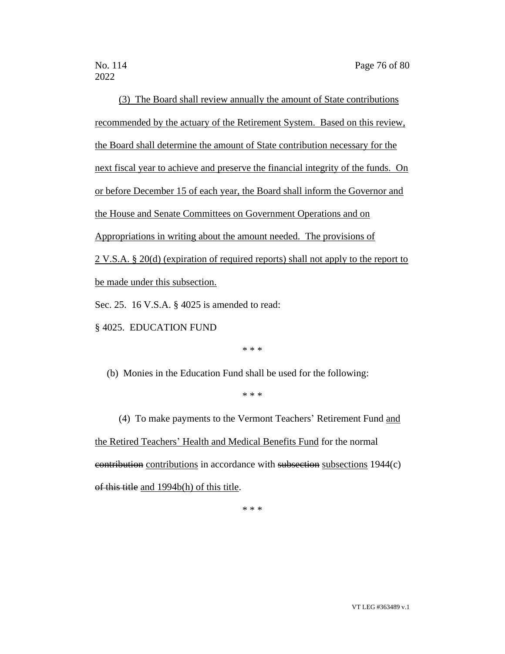2022

(3) The Board shall review annually the amount of State contributions recommended by the actuary of the Retirement System. Based on this review, the Board shall determine the amount of State contribution necessary for the next fiscal year to achieve and preserve the financial integrity of the funds. On or before December 15 of each year, the Board shall inform the Governor and the House and Senate Committees on Government Operations and on Appropriations in writing about the amount needed. The provisions of 2 V.S.A. § 20(d) (expiration of required reports) shall not apply to the report to be made under this subsection.

Sec. 25. 16 V.S.A. § 4025 is amended to read:

§ 4025. EDUCATION FUND

\* \* \*

(b) Monies in the Education Fund shall be used for the following:

\* \* \*

(4) To make payments to the Vermont Teachers' Retirement Fund and the Retired Teachers' Health and Medical Benefits Fund for the normal contribution contributions in accordance with subsection subsections 1944(c) of this title and 1994b(h) of this title.

\* \* \*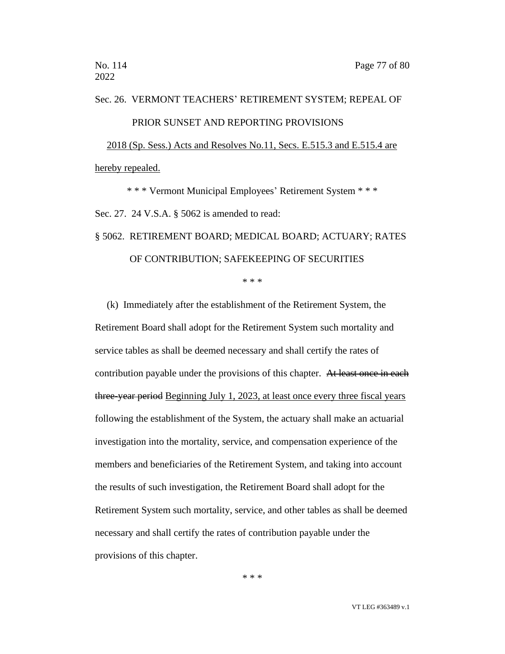# Sec. 26. VERMONT TEACHERS' RETIREMENT SYSTEM; REPEAL OF PRIOR SUNSET AND REPORTING PROVISIONS 2018 (Sp. Sess.) Acts and Resolves No.11, Secs. E.515.3 and E.515.4 are hereby repealed.

\* \* \* Vermont Municipal Employees' Retirement System \* \* \* Sec. 27. 24 V.S.A. § 5062 is amended to read:

## § 5062. RETIREMENT BOARD; MEDICAL BOARD; ACTUARY; RATES OF CONTRIBUTION; SAFEKEEPING OF SECURITIES

\* \* \*

(k) Immediately after the establishment of the Retirement System, the Retirement Board shall adopt for the Retirement System such mortality and service tables as shall be deemed necessary and shall certify the rates of contribution payable under the provisions of this chapter. At least once in each three-year period Beginning July 1, 2023, at least once every three fiscal years following the establishment of the System, the actuary shall make an actuarial investigation into the mortality, service, and compensation experience of the members and beneficiaries of the Retirement System, and taking into account the results of such investigation, the Retirement Board shall adopt for the Retirement System such mortality, service, and other tables as shall be deemed necessary and shall certify the rates of contribution payable under the provisions of this chapter.

\* \* \*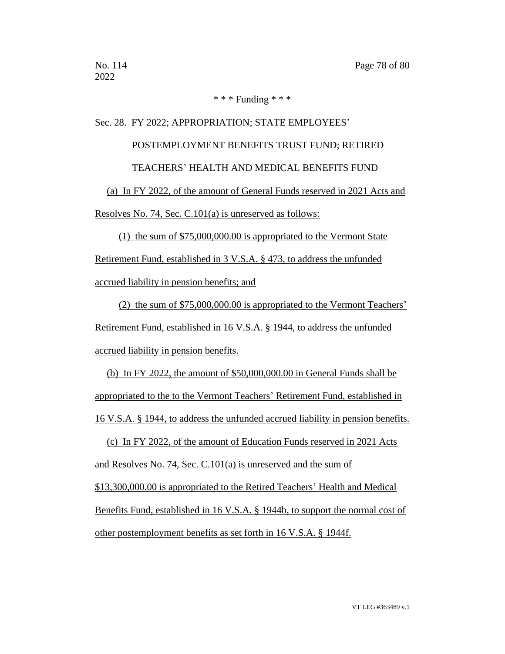#### \* \* \* Funding \* \* \*

#### Sec. 28. FY 2022; APPROPRIATION; STATE EMPLOYEES'

#### POSTEMPLOYMENT BENEFITS TRUST FUND; RETIRED

TEACHERS' HEALTH AND MEDICAL BENEFITS FUND

(a) In FY 2022, of the amount of General Funds reserved in 2021 Acts and Resolves No. 74, Sec. C.101(a) is unreserved as follows:

(1) the sum of \$75,000,000.00 is appropriated to the Vermont State Retirement Fund, established in 3 V.S.A. § 473, to address the unfunded accrued liability in pension benefits; and

(2) the sum of \$75,000,000.00 is appropriated to the Vermont Teachers' Retirement Fund, established in 16 V.S.A. § 1944, to address the unfunded accrued liability in pension benefits.

(b) In FY 2022, the amount of \$50,000,000.00 in General Funds shall be appropriated to the to the Vermont Teachers' Retirement Fund, established in 16 V.S.A. § 1944, to address the unfunded accrued liability in pension benefits.

(c) In FY 2022, of the amount of Education Funds reserved in 2021 Acts and Resolves No. 74, Sec. C.101(a) is unreserved and the sum of \$13,300,000.00 is appropriated to the Retired Teachers' Health and Medical Benefits Fund, established in 16 V.S.A. § 1944b, to support the normal cost of other postemployment benefits as set forth in 16 V.S.A. § 1944f.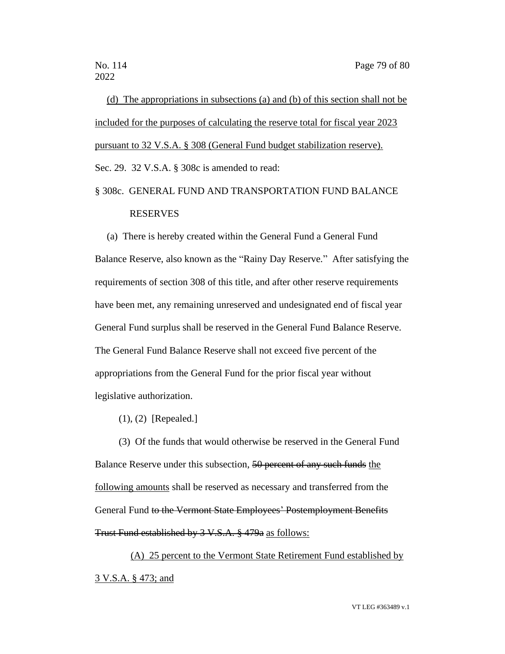(d) The appropriations in subsections (a) and (b) of this section shall not be included for the purposes of calculating the reserve total for fiscal year 2023 pursuant to 32 V.S.A. § 308 (General Fund budget stabilization reserve). Sec. 29. 32 V.S.A. § 308c is amended to read:

### § 308c. GENERAL FUND AND TRANSPORTATION FUND BALANCE RESERVES

(a) There is hereby created within the General Fund a General Fund Balance Reserve, also known as the "Rainy Day Reserve." After satisfying the requirements of section 308 of this title, and after other reserve requirements have been met, any remaining unreserved and undesignated end of fiscal year General Fund surplus shall be reserved in the General Fund Balance Reserve. The General Fund Balance Reserve shall not exceed five percent of the appropriations from the General Fund for the prior fiscal year without legislative authorization.

(1), (2) [Repealed.]

(3) Of the funds that would otherwise be reserved in the General Fund Balance Reserve under this subsection, 50 percent of any such funds the following amounts shall be reserved as necessary and transferred from the General Fund to the Vermont State Employees' Postemployment Benefits Trust Fund established by 3 V.S.A. § 479a as follows:

(A) 25 percent to the Vermont State Retirement Fund established by 3 V.S.A. § 473; and